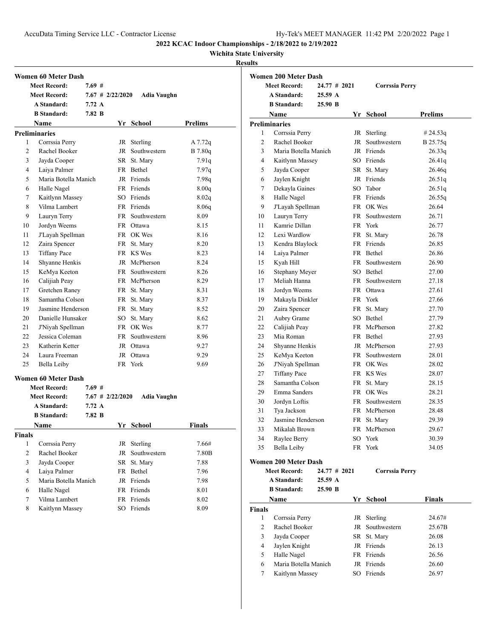AccuData Timing Service LLC - Contractor License Hy-Tek's MEET MANAGER 11:42 PM 2/20/2022 Page 1

**2022 KCAC Indoor Championships - 2/18/2022 to 2/19/2022**

# **Wichita State University**

## **Results**

|                | <b>Women 60 Meter Dash</b> |                  |                    |                 |               |
|----------------|----------------------------|------------------|--------------------|-----------------|---------------|
|                | <b>Meet Record:</b>        | 7.69#            |                    |                 |               |
|                | <b>Meet Record:</b>        |                  | $7.67$ # 2/22/2020 | Adia Vaughn     |               |
|                | <b>A Standard:</b>         | 7.72 A           |                    |                 |               |
|                | <b>B</b> Standard:         | 7.82 B           |                    |                 |               |
|                | Name                       |                  |                    | Yr School       | Prelims       |
|                | <b>Preliminaries</b>       |                  |                    |                 |               |
| 1              | Corrssia Perry             |                  | JR                 | Sterling        | A 7.72q       |
| $\overline{c}$ | Rachel Booker              |                  | JR                 | Southwestern    | B 7.80q       |
| 3              | Jayda Cooper               |                  |                    | SR St. Mary     | 7.91q         |
| 4              | Laiya Palmer               |                  |                    | FR Bethel       | 7.97q         |
| 5              | Maria Botella Manich       |                  |                    | JR Friends      | 7.98q         |
| 6              | Halle Nagel                |                  |                    | FR Friends      | 8.00q         |
| 7              | Kaitlynn Massey            |                  |                    | SO Friends      | 8.02q         |
| 8              | Vilma Lambert              |                  |                    | FR Friends      | 8.06q         |
| 9              | Lauryn Terry               |                  |                    | FR Southwestern | 8.09          |
| 10             | Jordyn Weems               |                  |                    | FR Ottawa       | 8.15          |
| 11             | J'Layah Spellman           |                  |                    | FR OK Wes       | 8.16          |
| 12             | Zaira Spencer              |                  |                    | FR St. Mary     | 8.20          |
| 13             | <b>Tiffany Pace</b>        |                  |                    | FR KS Wes       | 8.23          |
| 14             | Shyanne Henkis             |                  |                    | JR McPherson    | 8.24          |
| 15             | KeMya Keeton               |                  |                    | FR Southwestern | 8.26          |
| 16             | Calijiah Peay              |                  |                    | FR McPherson    | 8.29          |
| 17             | Gretchen Raney             |                  |                    | FR St. Mary     | 8.31          |
| 18             | Samantha Colson            |                  |                    | FR St. Mary     | 8.37          |
| 19             | Jasmine Henderson          |                  |                    | FR St. Mary     | 8.52          |
| 20             | Danielle Hunsaker          |                  | SO                 | St. Mary        | 8.62          |
| 21             | J'Niyah Spellman           |                  |                    | FR OK Wes       | 8.77          |
| 22             | Jessica Coleman            |                  |                    | FR Southwestern | 8.96          |
| 23             | Katherin Ketter            |                  |                    | JR Ottawa       | 9.27          |
| 24             | Laura Freeman              |                  |                    | JR Ottawa       | 9.29          |
| 25             | <b>Bella Leiby</b>         |                  |                    | FR York         | 9.69          |
|                | <b>Women 60 Meter Dash</b> |                  |                    |                 |               |
|                | <b>Meet Record:</b>        | 7.69 #           |                    |                 |               |
|                | <b>Meet Record:</b>        |                  | $7.67$ # 2/22/2020 | Adia Vaughn     |               |
|                | <b>A Standard:</b>         | $7.72 \text{ A}$ |                    |                 |               |
|                | <b>B</b> Standard:         | 7.82 B           |                    |                 |               |
|                | <b>Name</b>                |                  |                    | Yr School       | <b>Finals</b> |
| <b>Finals</b>  |                            |                  |                    |                 |               |
| 1              | Corrssia Perry             |                  |                    | JR Sterling     | 7.66#         |
| $\overline{2}$ | Rachel Booker              |                  | JR                 | Southwestern    | 7.80B         |
| 3              | Jayda Cooper               |                  | SR                 | St. Mary        | 7.88          |
| 4              | Laiya Palmer               |                  |                    | FR Bethel       | 7.96          |
| 5              | Maria Botella Manich       |                  |                    | JR Friends      | 7.98          |
| 6              | Halle Nagel                |                  |                    | FR Friends      | 8.01          |
| 7              | Vilma Lambert              |                  |                    | FR Friends      | 8.02          |
| 8              | Kaitlynn Massey            |                  | SO                 | Friends         | 8.09          |

|                | <b>Women 200 Meter Dash</b> |              |    |                       |               |
|----------------|-----------------------------|--------------|----|-----------------------|---------------|
|                | <b>Meet Record:</b>         | 24.77 # 2021 |    | <b>Corrssia Perry</b> |               |
|                | A Standard:                 | 25.59 A      |    |                       |               |
|                | <b>B</b> Standard:          | 25.90 B      |    |                       |               |
|                | Name                        |              |    | Yr School             | Prelims       |
|                | <b>Preliminaries</b>        |              |    |                       |               |
| 1              | Corrssia Perry              |              |    | JR Sterling           | # 24.53q      |
| $\overline{c}$ | Rachel Booker               |              |    | JR Southwestern       | B 25.75q      |
| 3              | Maria Botella Manich        |              |    | JR Friends            | 26.33q        |
| 4              | Kaitlynn Massey             |              |    | SO Friends            | 26.41q        |
| 5              | Jayda Cooper                |              |    | SR St. Mary           | 26.46q        |
| 6              | Jaylen Knight               |              |    | JR Friends            | 26.51q        |
| 7              | Dekayla Gaines              |              |    | SO Tabor              | 26.51q        |
| 8              | Halle Nagel                 |              |    | FR Friends            | 26.55q        |
| 9              | J'Layah Spellman            |              |    | FR OK Wes             | 26.64         |
| 10             | Lauryn Terry                |              |    | FR Southwestern       | 26.71         |
| 11             | Kamrie Dillan               |              |    | FR York               | 26.77         |
| 12             | Lexi Wardlow                |              |    | FR St. Mary           | 26.78         |
| 13             | Kendra Blaylock             |              |    | FR Friends            | 26.85         |
| 14             | Laiya Palmer                |              |    | FR Bethel             | 26.86         |
| 15             | Kyah Hill                   |              |    | FR Southwestern       | 26.90         |
| 16             | Stephany Meyer              |              |    | SO Bethel             | 27.00         |
| 17             | Meliah Hanna                |              |    | FR Southwestern       | 27.18         |
| 18             | Jordyn Weems                |              |    | FR Ottawa             | 27.61         |
| 19             | Makayla Dinkler             |              |    | FR York               | 27.66         |
| 20             | Zaira Spencer               |              |    | FR St. Mary           | 27.70         |
| 21             | Aubry Grame                 |              |    | SO Bethel             | 27.79         |
| 22             | Calijiah Peay               |              |    | FR McPherson          | 27.82         |
| 23             | Mia Roman                   |              |    | FR Bethel             |               |
|                |                             |              |    |                       | 27.93         |
| 24             | Shyanne Henkis              |              |    | JR McPherson          | 27.93         |
| 25             | KeMya Keeton                |              |    | FR Southwestern       | 28.01         |
| 26             | J'Niyah Spellman            |              |    | FR OK Wes             | 28.02         |
| 27             | <b>Tiffany Pace</b>         |              |    | FR KS Wes             | 28.07         |
| 28             | Samantha Colson             |              | FR | St. Mary              | 28.15         |
| 29             | Emma Sanders                |              |    | FR OK Wes             | 28.21         |
| 30             | Jordyn Loftis               |              |    | FR Southwestern       | 28.35         |
| 31             | Tya Jackson                 |              |    | FR McPherson          | 28.48         |
| 32             | Jasmine Henderson           |              | FR | St. Mary              | 29.39         |
| 33             | Mikalah Brown               |              |    | FR McPherson          | 29.67         |
| 34             | Raylee Berry                |              |    | SO York               | 30.39         |
| 35             | <b>Bella Leiby</b>          |              |    | FR York               | 34.05         |
|                | <b>Women 200 Meter Dash</b> |              |    |                       |               |
|                | <b>Meet Record:</b>         | 24.77 # 2021 |    | <b>Corrssia Perry</b> |               |
|                | A Standard:                 | 25.59 A      |    |                       |               |
|                | <b>B</b> Standard:          | 25.90 B      |    |                       |               |
|                | Name                        |              |    | Yr School             | <b>Finals</b> |
|                |                             |              |    |                       |               |
| Finals         |                             |              |    |                       |               |
| 1              | Corrssia Perry              |              |    | JR Sterling           | 24.67#        |
| 2              | Rachel Booker               |              |    | JR Southwestern       | 25.67B        |
| 3              | Jayda Cooper                |              |    | SR St. Mary           | 26.08         |
| 4              | Jaylen Knight               |              |    | JR Friends            | 26.13         |
| 5              | Halle Nagel                 |              |    | FR Friends            | 26.56         |

 Maria Botella Manich JR Friends 26.60 Kaitlynn Massey SO Friends 26.97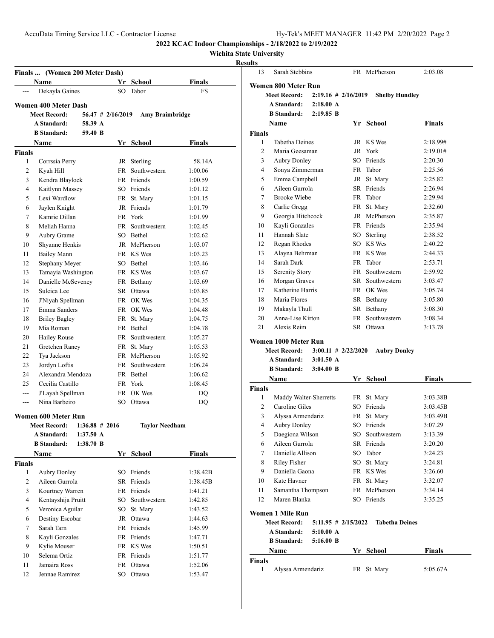Sarah Stebbins FR McPherson 2:03.08

**2022 KCAC Indoor Championships - 2/18/2022 to 2/19/2022**

# **Wichita State University**

|                | Finals  (Women 200 Meter Dash) |                   |                     |                        |               |
|----------------|--------------------------------|-------------------|---------------------|------------------------|---------------|
|                | <b>Name</b>                    |                   | Yr                  | School                 | <b>Finals</b> |
|                | Dekayla Gaines                 |                   | SO.                 | Tabor                  | <b>FS</b>     |
|                | Women 400 Meter Dash           |                   |                     |                        |               |
|                | <b>Meet Record:</b>            |                   | $56.47$ # 2/16/2019 | <b>Amy Braimbridge</b> |               |
|                | <b>A Standard:</b>             | 58.39 A           |                     |                        |               |
|                | <b>B</b> Standard:             | 59.40 B           |                     |                        |               |
|                | Name                           |                   | Yr                  | School                 | Finals        |
| Finals         |                                |                   |                     |                        |               |
| 1              | Corrssia Perry                 |                   | JR                  | Sterling               | 58.14A        |
| 2              | Kyah Hill                      |                   | <b>FR</b>           | Southwestern           | 1:00.06       |
| 3              | Kendra Blaylock                |                   |                     | FR Friends             | 1:00.59       |
| $\overline{4}$ | Kaitlynn Massey                |                   |                     | SO Friends             | 1:01.12       |
| 5              | Lexi Wardlow                   |                   |                     | FR St. Mary            | 1:01.15       |
| 6              | Jaylen Knight                  |                   |                     | JR Friends             | 1:01.79       |
| 7              | Kamrie Dillan                  |                   |                     | FR York                | 1:01.99       |
| 8              | Meliah Hanna                   |                   | FR                  | Southwestern           | 1:02.45       |
| 9              | Aubry Grame                    |                   |                     | SO Bethel              | 1:02.62       |
| 10             | Shyanne Henkis                 |                   |                     | JR McPherson           | 1:03.07       |
| 11             | <b>Bailey Mann</b>             |                   |                     | FR KS Wes              | 1:03.23       |
| 12             | Stephany Meyer                 |                   |                     | SO Bethel              | 1:03.46       |
| 13             | Tamayia Washington             |                   |                     | FR KS Wes              | 1:03.67       |
| 14             | Danielle McSeveney             |                   |                     | FR Bethany             | 1:03.69       |
| 15             | Suleica Lee                    |                   |                     | SR Ottawa              | 1:03.85       |
| 16             | J'Niyah Spellman               |                   |                     | FR OK Wes              | 1:04.35       |
| 17             | Emma Sanders                   |                   |                     | FR OK Wes              | 1:04.48       |
| 18             | <b>Briley Bagley</b>           |                   |                     | FR St. Mary            | 1:04.75       |
| 19             | Mia Roman                      |                   |                     | FR Bethel              | 1:04.78       |
| 20             | <b>Hailey Rouse</b>            |                   | FR -                | Southwestern           | 1:05.27       |
| 21             | Gretchen Raney                 |                   | FR                  | St. Mary               | 1:05.53       |
| 22             | Tya Jackson                    |                   |                     | FR McPherson           | 1:05.92       |
| 23             | Jordyn Loftis                  |                   | FR -                | Southwestern           | 1:06.24       |
| 24             | Alexandra Mendoza              |                   |                     | FR Bethel              | 1:06.62       |
| 25             | Cecilia Castillo               |                   |                     | FR York                | 1:08.45       |
| ---            | J'Layah Spellman               |                   |                     | FR OK Wes              | DQ            |
| $---$          | Nina Barbeiro                  |                   |                     | SO Ottawa              | DQ            |
|                | Women 600 Meter Run            |                   |                     |                        |               |
|                | <b>Meet Record:</b>            | $1:36.88 \# 2016$ |                     | <b>Taylor Needham</b>  |               |
|                | A Standard:                    | 1:37.50 A         |                     |                        |               |
|                | <b>B</b> Standard:             | $1:38.70$ B       |                     |                        |               |
|                | <b>Name</b>                    |                   |                     | Yr School              | <b>Finals</b> |
| <b>Finals</b>  |                                |                   |                     |                        |               |
| 1              | Aubry Donley                   |                   | SO                  | Friends                | 1:38.42B      |
| $\overline{2}$ | Aileen Gurrola                 |                   | SR                  | Friends                | 1:38.45B      |
| 3              | Kourtney Warren                |                   | FR                  | Friends                | 1:41.21       |
| $\overline{4}$ | Kentayshija Pruitt             |                   | SO                  | Southwestern           | 1:42.85       |
| 5              | Veronica Aguilar               |                   | SO                  | St. Mary               | 1:43.52       |
| 6              | Destiny Escobar                |                   |                     | JR Ottawa              | 1:44.63       |
| 7              | Sarah Tarn                     |                   |                     | FR Friends             | 1:45.99       |
| 8              | Kayli Gonzales                 |                   |                     | FR Friends             | 1:47.71       |
| 9              | Kylie Mouser                   |                   |                     | FR KS Wes              | 1:50.51       |
| 10             | Selema Ortiz                   |                   |                     | FR Friends             | 1:51.77       |
| 11             | Jamaira Ross                   |                   | FR                  | Ottawa                 | 1:52.06       |
| 12             | Jennae Ramirez                 |                   | SO                  | Ottawa                 | 1:53.47       |

|               | Women 800 Meter Run     |                        |    |                       |               |
|---------------|-------------------------|------------------------|----|-----------------------|---------------|
|               | <b>Meet Record:</b>     | $2:19.16 \# 2/16/2019$ |    | <b>Shelby Hundley</b> |               |
|               | A Standard:             | $2:18.00 \text{ A}$    |    |                       |               |
|               | <b>B</b> Standard:      | $2:19.85$ B            |    |                       |               |
|               | <b>Name</b>             |                        |    | Yr School             | <b>Finals</b> |
| <b>Finals</b> |                         |                        |    |                       |               |
| 1             | Tabetha Deines          |                        |    | JR KS Wes             | 2:18.99#      |
| 2             | Maria Geesaman          |                        |    | JR York               | 2:19.01#      |
| 3             | <b>Aubry Donley</b>     |                        |    | SO Friends            | 2:20.30       |
| 4             | Sonya Zimmerman         |                        |    | FR Tabor              | 2:25.56       |
| 5             | Emma Campbell           |                        |    | JR St. Mary           | 2:25.82       |
| 6             | Aileen Gurrola          |                        |    | SR Friends            | 2:26.94       |
| 7             | <b>Brooke Wiebe</b>     |                        |    | FR Tabor              | 2:29.94       |
| 8             | Carlie Gregg            |                        |    | FR St. Mary           | 2:32.60       |
| 9             | Georgia Hitchcock       |                        |    | JR McPherson          | 2:35.87       |
| 10            | Kayli Gonzales          |                        |    | FR Friends            | 2:35.94       |
| 11            | Hannah Slate            |                        |    | SO Sterling           | 2:38.52       |
| 12            | Regan Rhodes            |                        |    | SO KS Wes             | 2:40.22       |
| 13            | Alayna Behrman          |                        |    | FR KS Wes             | 2:44.33       |
| 14            | Sarah Dark              |                        |    | FR Tabor              | 2:53.71       |
| 15            | Serenity Story          |                        |    | FR Southwestern       | 2:59.92       |
| 16            | Morgan Graves           |                        |    | SR Southwestern       | 3:03.47       |
| 17            | Katherine Harris        |                        |    | FR OK Wes             | 3:05.74       |
| 18            | Maria Flores            |                        |    | SR Bethany            | 3:05.80       |
| 19            | Makayla Thull           |                        |    | SR Bethany            | 3:08.30       |
| 20            | Anna-Lise Kirton        |                        | FR | Southwestern          | 3:08.34       |
| 21            | Alexis Reim             |                        |    | SR Ottawa             | 3:13.78       |
|               |                         |                        |    |                       |               |
|               | Women 1000 Meter Run    |                        |    |                       |               |
|               | Meet Record:            | $3:00.11 \# 2/22/2020$ |    | <b>Aubry Donley</b>   |               |
|               | A Standard:             | $3:01.50 \text{ A}$    |    |                       |               |
|               | <b>B</b> Standard:      | $3:04.00$ B            |    |                       |               |
|               | Name                    |                        |    | Yr School             | Finals        |
| <b>Finals</b> |                         |                        |    |                       |               |
| 1             | Maddy Walter-Sherretts  |                        | FR | St. Mary              | 3:03.38B      |
| 2             | Caroline Giles          |                        |    | SO Friends            | 3:03.45B      |
| 3             | Alyssa Armendariz       |                        |    | FR St. Mary           | 3:03.49B      |
| 4             | <b>Aubry Donley</b>     |                        | SО | Friends               | 3:07.29       |
| 5             | Daegiona Wilson         |                        | SO | Southwestern          | 3:13.39       |
| 6             | Aileen Gurrola          |                        |    | SR Friends            | 3:20.20       |
| 7             | Danielle Allison        |                        | SO | Tabor                 | 3:24.23       |
| 8             | <b>Riley Fisher</b>     |                        |    | SO St. Mary           | 3:24.81       |
| 9             | Daniella Gaona          |                        |    | FR KS Wes             | 3:26.60       |
| 10            | Kate Havner             |                        |    | FR St. Mary           | 3:32.07       |
| 11            | Samantha Thompson       |                        |    | FR McPherson          | 3:34.14       |
| 12            | Maren Blanka            |                        |    | SO Friends            | 3:35.25       |
|               | <b>Women 1 Mile Run</b> |                        |    |                       |               |
|               | <b>Meet Record:</b>     | $5:11.95$ # 2/15/2022  |    | <b>Tabetha Deines</b> |               |
|               | A Standard:             | 5:10.00 A              |    |                       |               |
|               | <b>B</b> Standard:      | 5:16.00 B              |    |                       |               |
|               | Name                    |                        |    | Yr School             | <b>Finals</b> |
| <b>Finals</b> |                         |                        |    |                       |               |
| 1             | Alyssa Armendariz       |                        |    | FR St. Mary           | 5:05.67A      |
|               |                         |                        |    |                       |               |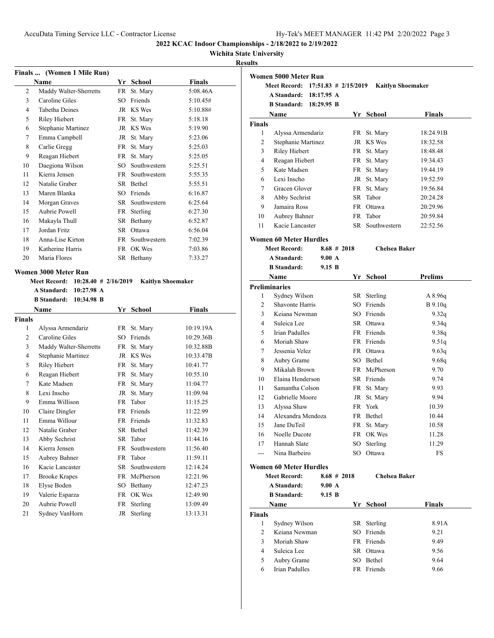# **Wichita State University**

# **Resu**

|                | Finals  (Women 1 Mile Run) |           |              |          |
|----------------|----------------------------|-----------|--------------|----------|
|                | Name                       | Yr        | School       | Finals   |
| $\overline{2}$ | Maddy Walter-Sherretts     | FR        | St. Mary     | 5:08.46A |
| 3              | Caroline Giles             | SO.       | Friends      | 5:10.45# |
| $\overline{4}$ | <b>Tabetha Deines</b>      | JR        | KS Wes       | 5:10.88# |
| 5              | Riley Hiebert              | FR        | St. Mary     | 5:18.18  |
| 6              | Stephanie Martinez         | JR        | KS Wes       | 5:19.90  |
| 7              | Emma Campbell              | JR        | St. Mary     | 5:23.06  |
| 8              | Carlie Gregg               | FR        | St. Mary     | 5:25.03  |
| 9              | Reagan Hiebert             | FR        | St. Mary     | 5:25.05  |
| 10             | Daegiona Wilson            | SO.       | Southwestern | 5:25.51  |
| 11             | Kierra Jensen              | FR -      | Southwestern | 5:55.35  |
| 12             | Natalie Graber             | SR.       | Bethel       | 5:55.51  |
| 13             | Maren Blanka               | SO.       | Friends      | 6:16.87  |
| 14             | Morgan Graves              | SR        | Southwestern | 6:25.64  |
| 15             | Aubrie Powell              | FR        | Sterling     | 6:27.30  |
| 16             | Makayla Thull              | SR.       | Bethany      | 6:52.87  |
| 17             | Jordan Fritz               | SR.       | Ottawa       | 6:56.04  |
| 18             | Anna-Lise Kirton           | FR        | Southwestern | 7:02.39  |
| 19             | Katherine Harris           | <b>FR</b> | OK Wes       | 7:03.86  |
| 20             | Maria Flores               | SR        | Bethany      | 7:33.27  |
|                | Women 3000 Meter Run       |           |              |          |

| <b>Meet Record:</b><br>$10:28.40$ # 2/16/2019 |                                  |           |               | <b>Kaitlyn Shoemaker</b> |  |
|-----------------------------------------------|----------------------------------|-----------|---------------|--------------------------|--|
| A Standard:<br>10:27.98 A                     |                                  |           |               |                          |  |
|                                               | 10:34.98 B<br><b>B</b> Standard: |           |               |                          |  |
|                                               | Name                             | Yr        | <b>School</b> | <b>Finals</b>            |  |
| <b>Finals</b>                                 |                                  |           |               |                          |  |
| 1                                             | Alyssa Armendariz                | FR        | St. Mary      | 10:19.19A                |  |
| $\overline{2}$                                | Caroline Giles                   | SO.       | Friends       | 10:29.36B                |  |
| 3                                             | Maddy Walter-Sherretts           | FR        | St. Mary      | 10:32.88B                |  |
| $\overline{4}$                                | Stephanie Martinez               | JR        | KS Wes        | 10:33.47B                |  |
| 5                                             | <b>Riley Hiebert</b>             | FR        | St. Mary      | 10:41.77                 |  |
| 6                                             | Reagan Hiebert                   | FR        | St. Mary      | 10:55.10                 |  |
| 7                                             | Kate Madsen                      | FR        | St. Mary      | 11:04.77                 |  |
| 8                                             | Lexi Inscho                      | JR        | St. Mary      | 11:09.94                 |  |
| 9                                             | Emma Willison                    | FR        | Tabor         | 11:15.25                 |  |
| 10                                            | Claire Dingler                   | FR        | Friends       | 11:22.99                 |  |
| 11                                            | Emma Willour                     | <b>FR</b> | Friends       | 11:32.83                 |  |
| 12                                            | Natalie Graber                   | SR.       | Bethel        | 11:42.39                 |  |
| 13                                            | Abby Sechrist                    | SR.       | Tabor         | 11:44.16                 |  |
| 14                                            | Kierra Jensen                    | FR        | Southwestern  | 11:56.40                 |  |
| 15                                            | Aubrey Bahner                    | <b>FR</b> | Tabor         | 11:59.11                 |  |
| 16                                            | Kacie Lancaster                  | SR.       | Southwestern  | 12:14.24                 |  |
| 17                                            | <b>Brooke Krapes</b>             | FR        | McPherson     | 12:21.96                 |  |
| 18                                            | Elyse Boden                      | SO        | Bethany       | 12:47.23                 |  |
| 19                                            | Valerie Esparza                  | FR        | OK Wes        | 12:49.90                 |  |
| 20                                            | Aubrie Powell                    | FR        | Sterling      | 13:09.49                 |  |
| 21                                            | Sydney VanHorn                   | <b>JR</b> | Sterling      | 13:13.31                 |  |

| ults           |                               |            |                         |                      |                          |
|----------------|-------------------------------|------------|-------------------------|----------------------|--------------------------|
|                | Women 5000 Meter Run          |            |                         |                      |                          |
|                | <b>Meet Record:</b>           |            | $17:51.83 \# 2/15/2019$ |                      | <b>Kaitlyn Shoemaker</b> |
|                | <b>A Standard:</b>            | 18:17.95 A |                         |                      |                          |
|                | <b>B</b> Standard: 18:29.95 B |            |                         |                      |                          |
|                | Name                          |            |                         | Yr School            | <b>Finals</b>            |
| <b>Finals</b>  |                               |            |                         |                      |                          |
| 1              | Alyssa Armendariz             |            |                         | FR St. Mary          | 18:24.91B                |
| 2              | Stephanie Martinez            |            |                         | JR KS Wes            | 18:32.58                 |
| 3              | <b>Riley Hiebert</b>          |            |                         | FR St. Mary          | 18:48.48                 |
| 4              | Reagan Hiebert                |            |                         | FR St. Mary          | 19:34.43                 |
| 5              | Kate Madsen                   |            |                         | FR St. Mary          | 19:44.19                 |
| 6              | Lexi Inscho                   |            |                         | JR St. Mary          | 19:52.59                 |
| 7              | Gracen Glover                 |            |                         | FR St. Mary          | 19:56.84                 |
| 8              | Abby Sechrist                 |            | SR                      | Tabor                | 20:24.28                 |
| 9              | Jamaira Ross                  |            |                         | FR Ottawa            | 20:29.96                 |
| 10             | Aubrey Bahner                 |            |                         | FR Tabor             | 20:59.84                 |
| 11             | Kacie Lancaster               |            |                         | SR Southwestern      | 22:52.56                 |
|                | <b>Women 60 Meter Hurdles</b> |            |                         |                      |                          |
|                | <b>Meet Record:</b>           |            | $8.68 \# 2018$          | <b>Chelsea Baker</b> |                          |
|                | A Standard:                   | $9.00\;A$  |                         |                      |                          |
|                | <b>B</b> Standard:            | $9.15\ B$  |                         |                      |                          |
|                | <b>Name</b>                   |            |                         | Yr School            | Prelims                  |
|                | <b>Preliminaries</b>          |            |                         |                      |                          |
| 1              | Sydney Wilson                 |            |                         | SR Sterling          | A8.96q                   |
| $\overline{c}$ | <b>Shavonte Harris</b>        |            |                         | SO Friends           | $B$ 9.10q                |
| 3              | Keiana Newman                 |            |                         | SO Friends           | 9.32q                    |
| 4              | Suleica Lee                   |            |                         | SR Ottawa            | 9.34q                    |
| 5              | <b>Irian Padulles</b>         |            |                         | FR Friends           | 9.38q                    |
| 6              | Moriah Shaw                   |            |                         | FR Friends           | 9.51q                    |
| 7              | Jessenia Velez                |            |                         | FR Ottawa            | 9.63q                    |
| 8              | Aubry Grame                   |            |                         | SO Bethel            | 9.68q                    |
| 9              | Mikalah Brown                 |            |                         | FR McPherson         | 9.70                     |
| 10             | Elaina Henderson              |            |                         | SR Friends           | 9.74                     |
| 11             | Samantha Colson               |            |                         | FR St. Mary          | 9.93                     |
| 12             | Gabrielle Moore               |            |                         | JR St. Mary          | 9.94                     |
| 13             | Alyssa Shaw                   |            |                         | FR York              | 10.39                    |
| 14             | Alexandra Mendoza             |            |                         | FR Bethel            | 10.44                    |
| 15             | Jane DuTeil                   |            |                         | FR St. Mary          | 10.58                    |
| 16             | Noelle Ducote                 |            |                         | FR OK Wes            | 11.28                    |
| 17             | Hannah Slate                  |            | SO                      | Sterling             | 11.29                    |
| ---            | Nina Barbeiro                 |            |                         | SO Ottawa            | FS                       |
|                | <b>Women 60 Meter Hurdles</b> |            |                         |                      |                          |
|                | <b>Meet Record:</b>           |            | $8.68 \# 2018$          | <b>Chelsea Baker</b> |                          |
|                | A Standard:                   | 9.00 A     |                         |                      |                          |
|                | <b>B</b> Standard:            | 9.15 B     |                         |                      |                          |
|                | <b>Name</b>                   |            |                         | Vr School            | Finale                   |

| Name           |                | Yr. | School      | <b>Finals</b> |
|----------------|----------------|-----|-------------|---------------|
| <b>Finals</b>  |                |     |             |               |
|                | Sydney Wilson  |     | SR Sterling | 8.91A         |
| $\mathfrak{D}$ | Keiana Newman  |     | SO Friends  | 9.21          |
| 3              | Moriah Shaw    |     | FR Friends  | 9.49          |
| 4              | Suleica Lee    |     | SR Ottawa   | 9.56          |
| 5              | Aubry Grame    |     | SO Bethel   | 9.64          |
| 6              | Irian Padulles |     | FR Friends  | 9.66          |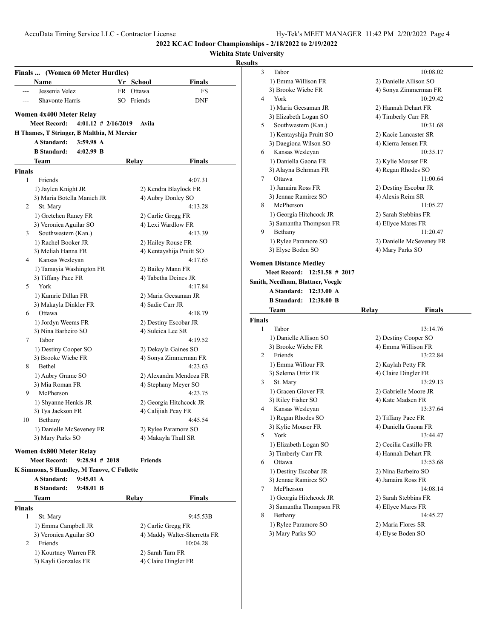**Wichita State University**

|               | Finals  (Women 60 Meter Hurdles)                                 |                         |              |                                          |
|---------------|------------------------------------------------------------------|-------------------------|--------------|------------------------------------------|
|               | Name                                                             |                         | Yr School    | Finals                                   |
| ---           | Jessenia Velez                                                   |                         | FR Ottawa    | FS                                       |
|               | Shavonte Harris                                                  |                         | SO Friends   | <b>DNF</b>                               |
|               | Women 4x400 Meter Relay                                          |                         |              |                                          |
|               | <b>Meet Record:</b>                                              | $4:01.12 \# 2/16/2019$  | Avila        |                                          |
|               | H Thames, T Stringer, B Maltbia, M Mercier                       |                         |              |                                          |
|               | A Standard:                                                      | $3:59.98 \; \mathrm{A}$ |              |                                          |
|               | <b>B</b> Standard:                                               | $4:02.99$ B             |              |                                          |
|               | Team                                                             |                         | <b>Relay</b> | <b>Finals</b>                            |
| <b>Finals</b> |                                                                  |                         |              |                                          |
| 1             | Friends                                                          |                         |              | 4:07.31                                  |
|               | 1) Jaylen Knight JR                                              |                         |              | 2) Kendra Blaylock FR                    |
|               | 3) Maria Botella Manich JR                                       |                         |              | 4) Aubry Donley SO                       |
| 2             | St. Mary                                                         |                         |              | 4:13.28                                  |
|               | 1) Gretchen Raney FR                                             |                         |              | 2) Carlie Gregg FR                       |
|               | 3) Veronica Aguilar SO                                           |                         |              | 4) Lexi Wardlow FR                       |
| 3             | Southwestern (Kan.)                                              |                         |              | 4:13.39                                  |
|               | 1) Rachel Booker JR                                              |                         |              | 2) Hailey Rouse FR                       |
|               | 3) Meliah Hanna FR                                               |                         |              | 4) Kentayshija Pruitt SO                 |
| 4             | Kansas Wesleyan                                                  |                         |              | 4:17.65                                  |
|               | 1) Tamayia Washington FR                                         |                         |              | 2) Bailey Mann FR                        |
|               | 3) Tiffany Pace FR                                               |                         |              | 4) Tabetha Deines JR                     |
| 5             | York                                                             |                         |              | 4:17.84                                  |
|               | 1) Kamrie Dillan FR                                              |                         |              | 2) Maria Geesaman JR                     |
|               | 3) Makayla Dinkler FR                                            |                         |              | 4) Sadie Carr JR                         |
| 6             | Ottawa                                                           |                         |              | 4:18.79                                  |
|               | 1) Jordyn Weems FR                                               |                         |              | 2) Destiny Escobar JR                    |
|               | 3) Nina Barbeiro SO                                              |                         |              | 4) Suleica Lee SR                        |
| 7             | Tabor                                                            |                         |              | 4:19.52                                  |
|               | 1) Destiny Cooper SO                                             |                         |              | 2) Dekayla Gaines SO                     |
| 8             | 3) Brooke Wiebe FR<br>Bethel                                     |                         |              | 4) Sonya Zimmerman FR<br>4:23.63         |
|               |                                                                  |                         |              | 2) Alexandra Mendoza FR                  |
|               | 1) Aubry Grame SO<br>3) Mia Roman FR                             |                         |              | 4) Stephany Meyer SO                     |
| 9             | McPherson                                                        |                         |              | 4:23.75                                  |
|               | 1) Shyanne Henkis JR                                             |                         |              | 2) Georgia Hitchcock JR                  |
|               | 3) Tya Jackson FR                                                |                         |              | 4) Calijiah Peay FR                      |
| 10            | Bethany                                                          |                         |              | 4:45.54                                  |
|               | 1) Danielle McSeveney FR                                         |                         |              | 2) Rylee Paramore SO                     |
|               | 3) Mary Parks SO                                                 |                         |              | 4) Makayla Thull SR                      |
|               |                                                                  |                         |              |                                          |
|               | Women 4x800 Meter Relay                                          | $9:28.94 \# 2018$       |              |                                          |
|               | <b>Meet Record:</b>                                              |                         | Friends      |                                          |
|               | K Simmons, S Hundley, M Tenove, C Follette<br><b>A</b> Standard: | $9:45.01 \text{ A}$     |              |                                          |
|               |                                                                  | $9:48.01$ B             |              |                                          |
|               | <b>B</b> Standard:                                               |                         |              |                                          |
|               | Team                                                             |                         | Relay        | Finals                                   |
| Finals        |                                                                  |                         |              |                                          |
| 1             | St. Mary                                                         |                         |              | 9:45.53B                                 |
|               | 1) Emma Campbell JR                                              |                         |              | 2) Carlie Gregg FR                       |
| 2             | 3) Veronica Aguilar SO<br>Friends                                |                         |              | 4) Maddy Walter-Sherretts FR<br>10:04.28 |
|               | 1) Kourtney Warren FR                                            |                         |              | 2) Sarah Tarn FR                         |
|               | 3) Kayli Gonzales FR                                             |                         |              | 4) Claire Dingler FR                     |
|               |                                                                  |                         |              |                                          |

| ults          |                                            |                          |
|---------------|--------------------------------------------|--------------------------|
| 3             | Tabor                                      | 10:08.02                 |
|               | 1) Emma Willison FR                        | 2) Danielle Allison SO   |
|               | 3) Brooke Wiebe FR                         | 4) Sonya Zimmerman FR    |
| 4             | York                                       | 10:29.42                 |
|               | 1) Maria Geesaman JR                       | 2) Hannah Dehart FR      |
|               | 3) Elizabeth Logan SO                      | 4) Timberly Carr FR      |
| 5             | Southwestern (Kan.)                        | 10:31.68                 |
|               | 1) Kentayshija Pruitt SO                   | 2) Kacie Lancaster SR    |
|               | 3) Daegiona Wilson SO                      | 4) Kierra Jensen FR      |
| 6             | Kansas Wesleyan                            | 10:35.17                 |
|               | 1) Daniella Gaona FR                       | 2) Kylie Mouser FR       |
|               | 3) Alayna Behrman FR                       | 4) Regan Rhodes SO       |
| 7             | Ottawa                                     | 11:00.64                 |
|               | 1) Jamaira Ross FR                         | 2) Destiny Escobar JR    |
|               | 3) Jennae Ramirez SO                       | 4) Alexis Reim SR        |
| 8             | McPherson                                  | 11:05.27                 |
|               | 1) Georgia Hitchcock JR                    | 2) Sarah Stebbins FR     |
|               | 3) Samantha Thompson FR                    | 4) Ellyce Mares FR       |
| 9.            | Bethany                                    | 11:20.47                 |
|               | 1) Rylee Paramore SO                       | 2) Danielle McSeveney FR |
|               | 3) Elyse Boden SO                          | 4) Mary Parks SO         |
|               | <b>Women Distance Medley</b>               |                          |
|               | <b>Meet Record:</b><br>$12:51.58 \# 2017$  |                          |
|               | Smith, Needham, Blattner, Voegle           |                          |
|               | <b>A Standard:</b><br>$12:33.00 \text{ A}$ |                          |
|               | <b>B</b> Standard:<br>$12:38.00\,B$        |                          |
|               |                                            |                          |
|               | Team                                       | Relay<br>Finals          |
| <b>Finals</b> |                                            |                          |
| 1             | Tabor                                      | 13:14.76                 |
|               | 1) Danielle Allison SO                     | 2) Destiny Cooper SO     |
|               | 3) Brooke Wiebe FR                         | 4) Emma Willison FR      |
| 2             | Friends                                    | 13:22.84                 |
|               | 1) Emma Willour FR                         | 2) Kaylah Petty FR       |
|               | 3) Selema Ortiz FR                         | 4) Claire Dingler FR     |
| 3             | St. Mary                                   | 13:29.13                 |
|               | 1) Gracen Glover FR                        | 2) Gabrielle Moore JR    |
|               | 3) Riley Fisher SO                         | 4) Kate Madsen FR        |
| 4             | Kansas Wesleyan                            | 13:37.64                 |
|               | 1) Regan Rhodes SO                         | 2) Tiffany Pace FR       |
|               | 3) Kylie Mouser FR                         | 4) Daniella Gaona FR     |
| 5             | York                                       | 13:44.47                 |
|               | 1) Elizabeth Logan SO                      | 2) Cecilia Castillo FR   |
|               | 3) Timberly Carr FR                        | 4) Hannah Dehart FR      |
| 6             | Ottawa                                     | 13:53.68                 |
|               | 1) Destiny Escobar JR                      | 2) Nina Barbeiro SO      |
|               | 3) Jennae Ramirez SO                       | 4) Jamaira Ross FR       |
| 7             | McPherson                                  | 14:08.14                 |
|               | 1) Georgia Hitchcock JR                    | 2) Sarah Stebbins FR     |
|               | 3) Samantha Thompson FR                    | 4) Ellyce Mares FR       |
| 8             | Bethany                                    | 14:45.27                 |
|               | 1) Rylee Paramore SO                       | 2) Maria Flores SR       |
|               | 3) Mary Parks SO                           | 4) Elyse Boden SO        |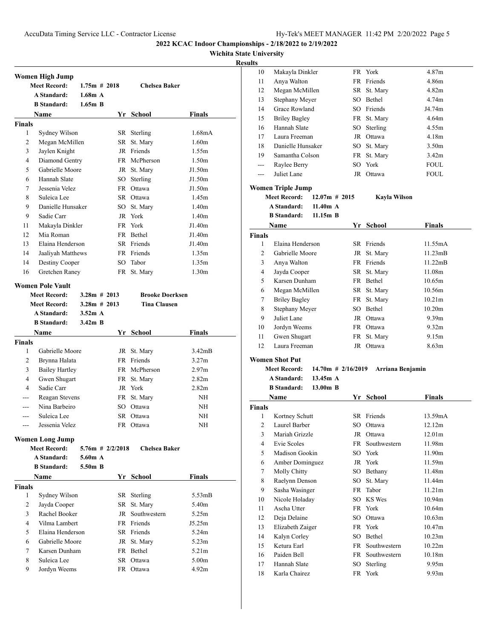**Wichita State University**

#### **Results**

|                | Women High Jump         |                 |                    |                        |                   |
|----------------|-------------------------|-----------------|--------------------|------------------------|-------------------|
|                | <b>Meet Record:</b>     | $1.75m \# 2018$ |                    | <b>Chelsea Baker</b>   |                   |
|                | A Standard:             | 1.68m A         |                    |                        |                   |
|                | <b>B</b> Standard:      | $1.65m$ B       |                    |                        |                   |
|                | Name                    |                 |                    | Yr School              | Finals            |
| <b>Finals</b>  |                         |                 |                    |                        |                   |
| 1              | Sydney Wilson           |                 |                    | SR Sterling            | 1.68mA            |
| 2              | Megan McMillen          |                 |                    | SR St. Mary            | 1.60 <sub>m</sub> |
| 3              | Jaylen Knight           |                 |                    | JR Friends             | 1.55m             |
| 4              | Diamond Gentry          |                 |                    | FR McPherson           | 1.50 <sub>m</sub> |
| 5              | Gabrielle Moore         |                 |                    | JR St. Mary            | J1.50m            |
| 6              | Hannah Slate            |                 |                    | SO Sterling            | J1.50m            |
| $\tau$         | Jessenia Velez          |                 |                    | FR Ottawa              | J1.50m            |
| 8              | Suleica Lee             |                 |                    | SR Ottawa              | 1.45m             |
| 9              | Danielle Hunsaker       |                 |                    | SO St. Mary            | 1.40 <sub>m</sub> |
| 9              | Sadie Carr              |                 |                    | JR York                | 1.40 <sub>m</sub> |
| 11             | Makayla Dinkler         |                 |                    | FR York                | J1.40m            |
| 12             | Mia Roman               |                 |                    | FR Bethel              | J1.40m            |
| 13             | Elaina Henderson        |                 |                    | SR Friends             | J1.40m            |
| 14             | Jaaliyah Matthews       |                 |                    | FR Friends             | 1.35m             |
| 14             | Destiny Cooper          |                 |                    | SO Tabor               | 1.35m             |
| 16             | Gretchen Raney          |                 |                    | FR St. Mary            | 1.30 <sub>m</sub> |
|                | <b>Women Pole Vault</b> |                 |                    |                        |                   |
|                | <b>Meet Record:</b>     | $3.28m \# 2013$ |                    | <b>Brooke Doerksen</b> |                   |
|                | <b>Meet Record:</b>     | $3.28m \# 2013$ |                    | <b>Tina Clausen</b>    |                   |
|                | A Standard:             | 3.52m A         |                    |                        |                   |
|                | <b>B</b> Standard:      | $3.42m$ B       |                    |                        |                   |
|                | Name                    |                 |                    | Yr School              | Finals            |
| <b>Finals</b>  |                         |                 |                    |                        |                   |
| 1              | Gabrielle Moore         |                 |                    | JR St. Mary            | 3.42mB            |
| 2              | Brynna Halata           |                 |                    | FR Friends             | 3.27m             |
| 3              | <b>Bailey Hartley</b>   |                 |                    | FR McPherson           | 2.97 <sub>m</sub> |
| 4              | Gwen Shugart            |                 |                    | FR St. Mary            | 2.82 <sub>m</sub> |
| 4              | Sadie Carr              |                 |                    | JR York                | 2.82 <sub>m</sub> |
| $---$          | Reagan Stevens          |                 |                    | FR St. Mary            | NH                |
| ---            | Nina Barbeiro           |                 |                    | SO Ottawa              | NH                |
| ---            | Suleica Lee             |                 |                    | SR Ottawa              | <b>NH</b>         |
| ---            | Jessenia Velez          |                 |                    | FR Ottawa              | NH                |
|                |                         |                 |                    |                        |                   |
|                | <b>Women Long Jump</b>  |                 |                    |                        |                   |
|                | <b>Meet Record:</b>     |                 | $5.76m$ # 2/2/2018 | <b>Chelsea Baker</b>   |                   |
|                | A Standard:             | 5.60m A         |                    |                        |                   |
|                | <b>B</b> Standard:      | 5.50m B         |                    |                        |                   |
|                | Name                    |                 |                    | Yr School              | Finals            |
| <b>Finals</b>  |                         |                 |                    |                        |                   |
| 1              | Sydney Wilson           |                 |                    | SR Sterling            | 5.53mB            |
| $\overline{2}$ |                         |                 |                    |                        | 5.40 <sub>m</sub> |
| 3              | Jayda Cooper            |                 |                    | SR St. Mary            |                   |
|                | Rachel Booker           |                 |                    | JR Southwestern        | 5.25m             |
| 4              | Vilma Lambert           |                 |                    | FR Friends             | J5.25m            |
| 5              | Elaina Henderson        |                 |                    | SR Friends             | 5.24m             |
| 6              | Gabrielle Moore         |                 |                    | JR St. Mary            | 5.23m             |
| $\tau$         | Karsen Dunham           |                 |                    | FR Bethel              | 5.21 <sub>m</sub> |
| 8              | Suleica Lee             |                 |                    | SR Ottawa              | 5.00m             |
| 9              | Jordyn Weems            |                 |                    | FR Ottawa              | 4.92m             |

| 10    | Makayla Dinkler      |    | FR York     | 4.87m             |
|-------|----------------------|----|-------------|-------------------|
| 11    | Anya Walton          |    | FR Friends  | 4.86m             |
| 12    | Megan McMillen       |    | SR St. Mary | 4.82m             |
| 13    | Stephany Meyer       |    | SO Bethel   | 4.74m             |
| 14    | Grace Rowland        |    | SO Friends  | J4.74m            |
| 15    | <b>Briley Bagley</b> |    | FR St. Mary | 4.64m             |
| 16    | Hannah Slate         |    | SO Sterling | 4.55m             |
| 17    | Laura Freeman        |    | JR Ottawa   | 4.18m             |
| 18    | Danielle Hunsaker    |    | SO St. Mary | 3.50 <sub>m</sub> |
| 19    | Samantha Colson      |    | FR St. Mary | 3.42m             |
| $---$ | Raylee Berry         |    | SO York     | <b>FOUL</b>       |
| ---   | Juliet Lane          | JR | Ottawa      | <b>FOUL</b>       |
|       |                      |    |             |                   |

#### **Women Triple Jump**

**Meet Record: 12.07m # 2015 Kayla Wilson A Standard: 11.40m A**

**B Standard: 11.15m B**

| Name          |                      | Yr  | <b>School</b> | <b>Finals</b>      |  |
|---------------|----------------------|-----|---------------|--------------------|--|
| <b>Finals</b> |                      |     |               |                    |  |
| 1             | Elaina Henderson     |     | SR Friends    | 11.55mA            |  |
| 2             | Gabrielle Moore      |     | JR St. Mary   | 11.23mB            |  |
| 3             | Anya Walton          |     | FR Friends    | 11.22mB            |  |
| 4             | Jayda Cooper         |     | SR St. Mary   | 11.08m             |  |
| 5             | Karsen Dunham        |     | FR Bethel     | 10.65m             |  |
| 6             | Megan McMillen       |     | SR St. Mary   | 10.56m             |  |
| 7             | <b>Briley Bagley</b> |     | FR St. Mary   | 10.21 <sub>m</sub> |  |
| 8             | Stephany Meyer       | SO. | <b>Bethel</b> | 10.20m             |  |
| 9             | Juliet Lane          | JR  | Ottawa        | 9.39 <sub>m</sub>  |  |
| 10            | Jordyn Weems         | FR  | Ottawa        | 9.32 <sub>m</sub>  |  |
| 11            | Gwen Shugart         |     | FR St. Mary   | 9.15m              |  |
| 12            | Laura Freeman        | JR  | Ottawa        | 8.63 <sub>m</sub>  |  |

### **Women Shot Put**

# **Meet Record: 14.70m # 2/16/2019 Arriana Benjamin A Standard: 13.45m A**

**B Standard: 13.00m B Name Yr School Finals Finals** 1 Kortney Schutt SR Friends 13.59mA Laurel Barber SO Ottawa 12.12m Mariah Grizzle JR Ottawa 12.01m Evie Scoles FR Southwestern 11.98m Madison Gookin SO York 11.90m Amber Dominguez JR York 11.59m Molly Chitty SO Bethany 11.48m 8 Raelynn Denson SO St. Mary 11.44m Sasha Wasinger FR Tabor 11.21m 10 Nicole Holaday SO KS Wes 10.94m Ascha Utter FR York 10.64m Deja Delaine SO Ottawa 10.63m Elizabeth Zaiger FR York 10.47m 14 Kalyn Corley SO Bethel 10.23m Ketura Earl FR Southwestern 10.22m Paiden Bell FR Southwestern 10.18m 17 Hannah Slate SO Sterling 9.95m Karla Chairez FR York 9.93m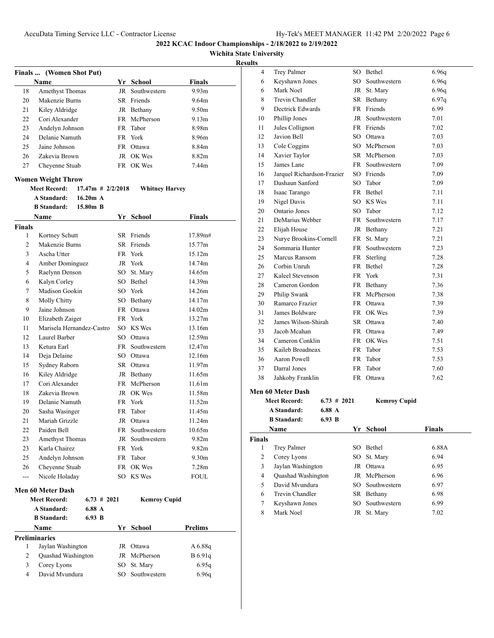# **Wichita State University**

|                    | Finals  (Women Shot Put)       |                     |        |                       |                   |
|--------------------|--------------------------------|---------------------|--------|-----------------------|-------------------|
|                    | Name                           |                     |        | Yr School             | <b>Finals</b>     |
| 18                 | <b>Amethyst Thomas</b>         |                     | JR     | Southwestern          | 9.93m             |
| 20                 | Makenzie Burns                 |                     |        | SR Friends            | 9.64m             |
| 21                 | Kiley Aldridge                 |                     |        | JR Bethany            | 9.50 <sub>m</sub> |
| 22                 | Cori Alexander                 |                     |        | FR McPherson          | 9.13m             |
| 23                 | Andelyn Johnson                |                     | FR -   | Tabor                 | 8.98m             |
| 24                 | Delanie Namuth                 |                     |        | FR York               | 8.96m             |
| 25                 | Jaine Johnson                  |                     |        | FR Ottawa             | 8.84m             |
| 26                 | Zakevia Brown                  |                     |        | JR OK Wes             | 8.82m             |
| 27                 | Cheyenne Stuab                 |                     |        | FR OK Wes             | 7.44m             |
|                    | <b>Women Weight Throw</b>      |                     |        |                       |                   |
|                    | <b>Meet Record:</b>            | $17.47m$ # 2/2/2018 |        | <b>Whitney Harvey</b> |                   |
|                    | <b>A Standard:</b>             | $16.20m$ A          |        |                       |                   |
|                    | <b>B</b> Standard:             | 15.80m B            |        |                       |                   |
|                    |                                |                     |        |                       |                   |
|                    | Name                           |                     |        | Yr School             | <b>Finals</b>     |
| <b>Finals</b><br>1 | Kortney Schutt                 |                     |        | SR Friends            | 17.89m#           |
| $\overline{c}$     | Makenzie Burns                 |                     |        | SR Friends            | 15.77m            |
| 3                  | Ascha Utter                    |                     |        | FR York               | 15.12m            |
|                    |                                |                     |        | JR York               | 14.74m            |
| 4                  | Amber Dominguez                |                     |        | SO St. Mary           | 14.65m            |
| 5                  | Raelynn Denson                 |                     |        | SO Bethel             | 14.39m            |
| 6                  | Kalyn Corley<br>Madison Gookin |                     |        |                       | 14.26m            |
| 7                  |                                |                     |        | SO York               | 14.17m            |
| 8                  | Molly Chitty                   |                     |        | SO Bethany            |                   |
| 9                  | Jaine Johnson                  |                     |        | FR Ottawa             | 14.02m            |
| 10                 | Elizabeth Zaiger               |                     |        | FR York               | 13.27m            |
| 11                 | Marisela Hernandez-Castro      |                     |        | SO KS Wes             | 13.16m            |
| 12                 | Laurel Barber                  |                     |        | SO Ottawa             | 12.59m            |
| 13                 | Ketura Earl                    |                     |        | FR Southwestern       | 12.47m            |
| 14                 | Deja Delaine                   |                     |        | SO Ottawa             | 12.16m            |
| 15                 | Sydney Raborn                  |                     |        | SR Ottawa             | 11.97m            |
| 16                 | Kiley Aldridge                 |                     |        | JR Bethany            | 11.65m            |
| 17                 | Cori Alexander                 |                     |        | FR McPherson          | 11.61m            |
| 18                 | Zakevia Brown                  |                     |        | JR OK Wes             | 11.58m            |
| 19                 | Delanie Namuth                 |                     |        | FR York               | 11.52m            |
| 20                 | Sasha Wasinger                 |                     | FR     | Tabor                 | 11.45m            |
| 21                 | Mariah Grizzle                 |                     |        | JR Ottawa             | 11.24m            |
| 22                 | Paiden Bell                    |                     |        | FR Southwestern       | 10.65m            |
| 23                 | Amethyst Thomas                |                     | JR     | Southwestern          | 9.82m             |
| 23                 | Karla Chairez                  |                     |        | FR York               | 9.82 <sub>m</sub> |
| 25                 | Andelyn Johnson                |                     |        | FR Tabor              | 9.30 <sub>m</sub> |
| 26                 | Cheyenne Stuab                 |                     |        | FR OK Wes             | 7.28 <sub>m</sub> |
| ---                | Nicole Holaday                 |                     |        | SO KS Wes             | <b>FOUL</b>       |
|                    | <b>Men 60 Meter Dash</b>       |                     |        |                       |                   |
|                    | <b>Meet Record:</b>            | $6.73 \# 2021$      |        | <b>Kemroy Cupid</b>   |                   |
|                    | A Standard:                    | 6.88 A              |        |                       |                   |
|                    | <b>B</b> Standard:             | 6.93 B              |        |                       |                   |
|                    | Name                           |                     |        | Yr School             | <b>Prelims</b>    |
|                    | <b>Preliminaries</b>           |                     |        |                       |                   |
| 1                  | Jaylan Washington              |                     |        | JR Ottawa             | A 6.88q           |
| $\overline{2}$     | Quashad Washington             |                     |        | JR McPherson          | B 6.91q           |
| 3                  | Corey Lyons                    |                     | SO     | St. Mary              | 6.95q             |
| 4                  | David Mvundura                 |                     | $SO^-$ | Southwestern          | 6.96q             |
|                    |                                |                     |        |                       |                   |

| սււծ           |                            |                |      |                 |               |
|----------------|----------------------------|----------------|------|-----------------|---------------|
| 4              | <b>Trey Palmer</b>         |                |      | SO Bethel       | 6.96q         |
| 6              | Keyshawn Jones             |                |      | SO Southwestern | 6.96q         |
| 6              | Mark Noel                  |                |      | JR St. Mary     | 6.96q         |
| 8              | Trevin Chandler            |                |      | SR Bethany      | 6.97q         |
| 9              | Dectrick Edwards           |                |      | FR Friends      | 6.99          |
| 10             | Phillip Jones              |                |      | JR Southwestern | 7.01          |
| 11             | Jules Collignon            |                |      | FR Friends      | 7.02          |
| 12             | Javion Bell                |                |      | SO Ottawa       | 7.03          |
| 13             | Cole Coggins               |                |      | SO McPherson    | 7.03          |
| 14             | Xavier Taylor              |                |      | SR McPherson    | 7.03          |
| 15             | James Lane                 |                |      | FR Southwestern | 7.09          |
| 16             | Jarquel Richardson-Frazier |                |      | SO Friends      | 7.09          |
| 17             | Dashaun Sanford            |                |      | SO Tabor        | 7.09          |
| 18             | Isaac Tarango              |                |      | FR Bethel       | 7.11          |
| 19             | Nigel Davis                |                |      | SO KS Wes       | 7.11          |
| 20             | Ontario Jones              |                |      | SO Tabor        | 7.12          |
| 21             | DeMarius Webber            |                |      | FR Southwestern | 7.17          |
| 22             | Elijah House               |                |      | JR Bethany      | 7.21          |
| 23             | Nurye Brookins-Cornell     |                |      | FR St. Mary     | 7.21          |
| 24             | Sommaria Hunter            |                |      | FR Southwestern | 7.23          |
| 25             | Marcus Ransom              |                |      | FR Sterling     | 7.28          |
| 26             | Corbin Unruh               |                |      | FR Bethel       | 7.28          |
| 27             | Kaleel Stevenson           |                |      | FR York         | 7.31          |
| 28             | Cameron Gordon             |                |      | FR Bethany      | 7.36          |
| 29             | Philip Swank               |                |      | FR McPherson    | 7.38          |
| 30             | Ramarco Frazier            |                |      | FR Ottawa       | 7.39          |
| 31             | James Boldware             |                |      | FR OK Wes       | 7.39          |
| 32             | James Wilson-Shirah        |                |      | SR Ottawa       | 7.40          |
| 33             | Jacob Mcahan               |                |      | FR Ottawa       | 7.49          |
| 34             | Cameron Conklin            |                |      | FR OK Wes       | 7.51          |
| 35             | Kaileb Broadneax           |                | FR - | Tabor           | 7.53          |
| 36             | Aaron Powell               |                | FR.  | Tabor           | 7.53          |
| 37             | Darral Jones               |                | FR.  | Tabor           | 7.60          |
| 38             | Jahkoby Franklin           |                |      | FR Ottawa       | 7.62          |
|                |                            |                |      |                 |               |
|                | <b>Men 60 Meter Dash</b>   |                |      |                 |               |
|                | <b>Meet Record:</b>        | $6.73 \# 2021$ |      | Kemroy Cupid    |               |
|                | <b>A Standard:</b>         | 6.88 A         |      |                 |               |
|                | <b>B</b> Standard:         | 6.93 B         |      |                 |               |
|                | Name                       |                | Yr   | School          | <b>Finals</b> |
| <b>Finals</b>  |                            |                |      |                 |               |
| $\mathbf{1}$   | Trey Palmer                |                | SO   | Bethel          | 6.88A         |
| $\overline{c}$ | Corey Lyons                |                | SO   | St. Mary        | 6.94          |
| 3              | Jaylan Washington          |                | JR   | Ottawa          | 6.95          |
| $\overline{4}$ | Quashad Washington         |                | JR   | McPherson       | 6.96          |
| 5              | David Mvundura             |                | SO   | Southwestern    | 6.97          |
| 6              | Trevin Chandler            |                |      | SR Bethany      | 6.98          |
| 7              | Keyshawn Jones             |                | SO   | Southwestern    | 6.99          |
| 8              | Mark Noel                  |                |      | JR St. Mary     | 7.02          |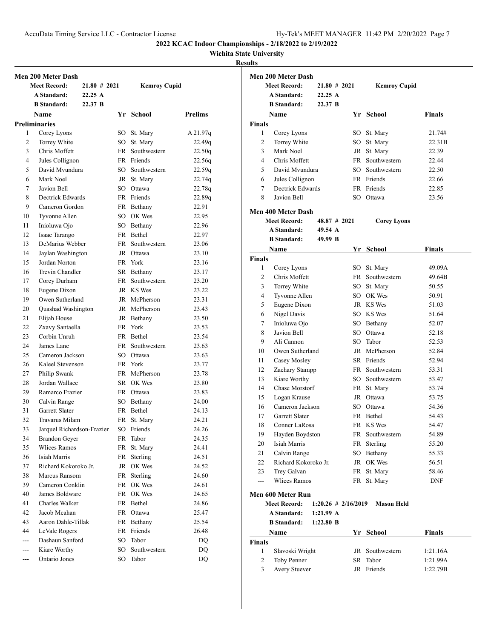AccuData Timing Service LLC - Contractor License Hy-Tek's MEET MANAGER 11:42 PM 2/20/2022 Page 7

**2022 KCAC Indoor Championships - 2/18/2022 to 2/19/2022**

**Wichita State University**

|          | Men 200 Meter Dash                    |         |                 |                           |                |
|----------|---------------------------------------|---------|-----------------|---------------------------|----------------|
|          | <b>Meet Record:</b>                   |         | $21.80 \# 2021$ | <b>Kemroy Cupid</b>       |                |
|          | A Standard:                           | 22.25A  |                 |                           |                |
|          | <b>B</b> Standard:                    | 22.37 B |                 |                           |                |
|          | <b>Name</b>                           |         |                 | Yr School                 | <b>Prelims</b> |
|          | <b>Preliminaries</b>                  |         |                 |                           |                |
| 1        | Corey Lyons                           |         |                 | SO St. Mary               | A 21.97q       |
| 2        | Torrey White                          |         |                 | SO St. Mary               | 22.49q         |
| 3        | Chris Moffett                         |         |                 | FR Southwestern           | 22.50q         |
| 4        | Jules Collignon                       |         |                 | FR Friends                | 22.56q         |
| 5        | David Mvundura                        |         |                 | SO Southwestern           | 22.59q         |
| 6        | Mark Noel                             |         |                 | JR St. Mary               | 22.74q         |
| 7        | Javion Bell                           |         |                 | SO Ottawa                 | 22.78q         |
| 8        | Dectrick Edwards                      |         |                 | FR Friends                | 22.89q         |
| 9        | Cameron Gordon                        |         |                 | FR Bethany                | 22.91          |
| 10       | Tyvonne Allen                         |         |                 | SO OK Wes                 | 22.95          |
| 11       | Inioluwa Ojo                          |         |                 | SO Bethany                | 22.96          |
| 12       | Isaac Tarango                         |         |                 | FR Bethel                 | 22.97          |
| 13       | DeMarius Webber                       |         |                 | FR Southwestern           | 23.06          |
| 14       | Jaylan Washington                     |         |                 | JR Ottawa                 | 23.10          |
| 15       | Jordan Norton                         |         |                 | FR York                   | 23.16          |
| 16       | Trevin Chandler                       |         |                 | SR Bethany                | 23.17          |
| 17       | Corey Durham                          |         |                 | FR Southwestern           | 23.20          |
| 18       | Eugene Dixon                          |         |                 | JR KS Wes                 | 23.22          |
| 19       | Owen Sutherland                       |         |                 | JR McPherson              | 23.31          |
| 20       | Quashad Washington                    |         |                 | JR McPherson              | 23.43          |
| 21       | Elijah House                          |         |                 | JR Bethany                | 23.50          |
| 22       | Zxavy Santaella                       |         |                 | FR York                   | 23.53          |
| 23       | Corbin Unruh                          |         |                 | FR Bethel                 | 23.54          |
| 24       | James Lane                            |         |                 | FR Southwestern           | 23.63          |
| 25       | Cameron Jackson                       |         |                 | SO Ottawa                 | 23.63          |
| 26       | Kaleel Stevenson                      |         |                 | FR York                   | 23.77          |
| 27       | Philip Swank                          |         |                 | FR McPherson              | 23.78          |
| 28       | Jordan Wallace                        |         |                 | SR OK Wes                 | 23.80          |
| 29       | Ramarco Frazier                       |         |                 | FR Ottawa                 |                |
| 30       |                                       |         |                 |                           | 23.83          |
| 31       | Calvin Range<br><b>Garrett Slater</b> |         |                 | SO Bethany<br>FR Bethel   | 24.00          |
| 32       | Travarus Milam                        |         |                 |                           | 24.13<br>24.21 |
| 33       | Jarquel Richardson-Frazier            |         |                 | FR St. Mary<br>SO Friends | 24.26          |
|          |                                       |         |                 | Tabor                     |                |
| 34<br>35 | <b>Brandon Geyer</b><br>Wlices Ramos  |         | FR<br>FR        |                           | 24.35<br>24.41 |
| 36       | Isiah Marris                          |         | FR              | St. Mary<br>Sterling      | 24.51          |
| 37       | Richard Kokoroko Jr.                  |         | JR              | OK Wes                    | 24.52          |
| 38       | Marcus Ransom                         |         | FR              | Sterling                  | 24.60          |
| 39       | Cameron Conklin                       |         | FR              | OK Wes                    | 24.61          |
|          | James Boldware                        |         |                 | OK Wes                    |                |
| 40<br>41 | Charles Walker                        |         | FR<br>FR        | Bethel                    | 24.65<br>24.86 |
| 42       | Jacob Mcahan                          |         | FR              | Ottawa                    | 25.47          |
| 43       | Aaron Dahle-Tillak                    |         | FR              | Bethany                   | 25.54          |
| 44       | LeVale Rogers                         |         | FR              | Friends                   | 26.48          |
| ---      | Dashaun Sanford                       |         | SO              | Tabor                     |                |
|          |                                       |         |                 | Southwestern              | DQ             |
| $---$    | Kiare Worthy<br>Ontario Jones         |         | SO              | Tabor                     | DQ             |
| ---      |                                       |         | SO              |                           | DQ             |

|                    | <b>Men 200 Meter Dash</b><br><b>Meet Record:</b> | $21.80 \# 2021$ |                        | <b>Kemroy Cupid</b> |               |
|--------------------|--------------------------------------------------|-----------------|------------------------|---------------------|---------------|
|                    | <b>A Standard:</b>                               | 22.25A          |                        |                     |               |
|                    | <b>B</b> Standard:                               | 22.37 B         |                        |                     |               |
|                    | <b>Name</b>                                      |                 |                        | Yr School           | Finals        |
|                    |                                                  |                 |                        |                     |               |
| <b>Finals</b><br>1 | Corey Lyons                                      |                 |                        | SO St. Mary         | 21.74#        |
| 2                  | Torrey White                                     |                 |                        | SO St. Mary         | 22.31B        |
| 3                  | Mark Noel                                        |                 |                        | JR St. Mary         | 22.39         |
| 4                  | Chris Moffett                                    |                 |                        | FR Southwestern     | 22.44         |
| 5                  | David Myundura                                   |                 |                        | SO Southwestern     | 22.50         |
| 6                  | Jules Collignon                                  |                 |                        | FR Friends          | 22.66         |
| 7                  | Dectrick Edwards                                 |                 |                        | FR Friends          | 22.85         |
| 8                  | Javion Bell                                      |                 |                        | SO Ottawa           | 23.56         |
|                    |                                                  |                 |                        |                     |               |
|                    | <b>Men 400 Meter Dash</b>                        |                 |                        |                     |               |
|                    | <b>Meet Record:</b>                              | $48.87 \# 2021$ |                        | <b>Corey Lyons</b>  |               |
|                    | <b>A Standard:</b>                               | 49.54 A         |                        |                     |               |
|                    | <b>B</b> Standard:                               | 49.99 B         |                        |                     |               |
|                    | Name                                             |                 |                        | Yr School           | Finals        |
| <b>Finals</b>      |                                                  |                 |                        |                     |               |
| 1                  | Corey Lyons                                      |                 |                        | SO St. Mary         | 49.09A        |
| $\overline{2}$     | Chris Moffett                                    |                 |                        | FR Southwestern     | 49.64B        |
| 3                  | Torrey White                                     |                 |                        | SO St. Mary         | 50.55         |
| 4                  | Tyvonne Allen                                    |                 |                        | SO OK Wes           | 50.91         |
| 5                  | Eugene Dixon                                     |                 |                        | JR KS Wes           | 51.03         |
| 6                  | Nigel Davis                                      |                 |                        | SO KS Wes           | 51.64         |
| 7                  | Inioluwa Ojo                                     |                 |                        | SO Bethany          | 52.07         |
| 8                  | Javion Bell                                      |                 |                        | SO Ottawa           | 52.18         |
| 9                  | Ali Cannon                                       |                 |                        | SO Tabor            | 52.53         |
| 10                 | Owen Sutherland                                  |                 |                        | JR McPherson        | 52.84         |
| 11                 | Casey Mosley                                     |                 |                        | SR Friends          | 52.94         |
| 12                 | Zachary Stampp                                   |                 |                        | FR Southwestern     | 53.31         |
| 13                 | Kiare Worthy                                     |                 |                        | SO Southwestern     | 53.47         |
| 14                 | Chase Morstorf                                   |                 |                        | FR St. Mary         | 53.74         |
| 15                 | Logan Krause                                     |                 |                        | JR Ottawa           | 53.75         |
| 16                 | Cameron Jackson                                  |                 |                        | SO Ottawa           | 54.36         |
| 17                 | <b>Garrett Slater</b>                            |                 |                        | FR Bethel           | 54.43         |
| 18                 | Conner LaRosa                                    |                 |                        | FR KS Wes           | 54.47         |
| 19                 | Hayden Boydston                                  |                 |                        | FR Southwestern     | 54.89         |
| 20                 | Isiah Marris                                     |                 |                        | FR Sterling         | 55.20         |
| 21                 | Calvin Range                                     |                 |                        | SO Bethany          | 55.33         |
| 22                 | Richard Kokoroko Jr.                             |                 |                        | JR OK Wes           | 56.51         |
| 23                 | Trey Galvan                                      |                 |                        | FR St. Mary         | 58.46         |
| ---                | Wlices Ramos                                     |                 |                        | FR St. Mary         | <b>DNF</b>    |
|                    | Men 600 Meter Run                                |                 |                        |                     |               |
|                    | <b>Meet Record:</b>                              |                 | $1:20.26 \# 2/16/2019$ | <b>Mason Held</b>   |               |
|                    | A Standard:                                      | $1:21.99 \; A$  |                        |                     |               |
|                    | <b>B</b> Standard:                               | $1:22.80$ B     |                        |                     |               |
|                    | Name                                             |                 | Yr                     | School              | <b>Finals</b> |
| Finals             |                                                  |                 |                        |                     |               |
| $\mathbf{1}$       | Slavoski Wright                                  |                 |                        | JR Southwestern     | 1:21.16A      |
|                    | Toby Penner                                      |                 |                        | SR Tabor            | 1:21.99A      |
| 2                  |                                                  |                 |                        |                     |               |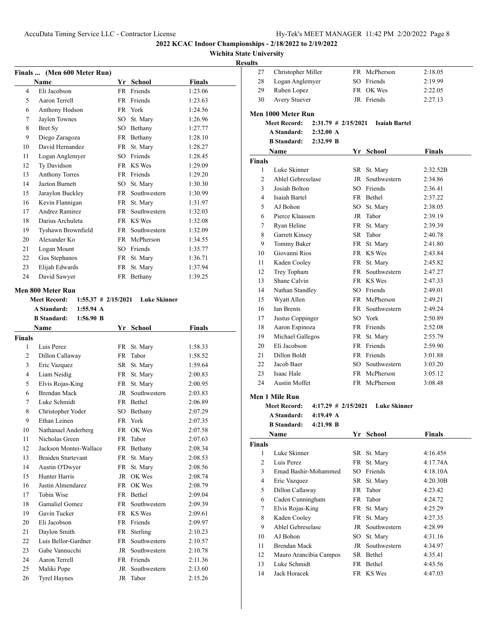## **Wichita State University**

|      | Finals  (Men 600 Meter Run) |           |              |         |
|------|-----------------------------|-----------|--------------|---------|
| Name |                             | Yr        | School       | Finals  |
| 4    | Eli Jacobson                | <b>FR</b> | Friends      | 1:23.06 |
| 5    | Aaron Terrell               | <b>FR</b> | Friends      | 1:23.63 |
| 6    | Anthony Hodson              |           | FR York      | 1:24.56 |
| 7    | Jaylen Townes               | SO        | St. Mary     | 1:26.96 |
| 8    | Bret Sy                     | SO.       | Bethany      | 1:27.77 |
| 9    | Diego Zaragoza              | FR        | Bethany      | 1:28.10 |
| 10   | David Hernandez             | FR        | St. Mary     | 1:28.27 |
| 11   | Logan Anglemyer             | SO        | Friends      | 1:28.45 |
| 12   | Ty Davidson                 | <b>FR</b> | KS Wes       | 1:29.09 |
| 13   | <b>Anthony Torres</b>       | FR        | Friends      | 1:29.20 |
| 14   | <b>Jazton Burnett</b>       | SO        | St. Mary     | 1:30.30 |
| 15   | Jaraylon Buckley            | <b>FR</b> | Southwestern | 1:30.99 |
| 16   | Kevin Flannigan             | FR        | St. Mary     | 1:31.97 |
| 17   | Andrez Ramirez              | <b>FR</b> | Southwestern | 1:32.03 |
| 18   | Darius Archuleta            | <b>FR</b> | KS Wes       | 1:32.08 |
| 19   | Tyshawn Brownfield          | FR        | Southwestern | 1:32.09 |
| 20   | Alexander Ko                | <b>FR</b> | McPherson    | 1:34.55 |
| 21   | Logan Mount                 | SO        | Friends      | 1:35.77 |
| 22   | Gus Stephanos               | FR        | St. Mary     | 1:36.71 |
| 23   | Elijah Edwards              | FR        | St. Mary     | 1:37.94 |
| 24   | David Sawyer                | FR        | Bethany      | 1:39.25 |

#### **Men 800 Meter Run**

|                              | Meet Record: 1:55.37 # 2/15/2021 Luke Skinner |           |               |
|------------------------------|-----------------------------------------------|-----------|---------------|
| A Standard: 1:55.94 A        |                                               |           |               |
| <b>B</b> Standard: 1:56.90 B |                                               |           |               |
| <b>Name</b>                  |                                               | Yr School | <b>Finals</b> |
| <b>Finals</b>                |                                               |           |               |
|                              |                                               |           |               |

| <b>inals</b> |                           |           |               |         |  |
|--------------|---------------------------|-----------|---------------|---------|--|
| 1            | Luis Perez                | FR        | St. Mary      | 1:58.33 |  |
| 2            | Dillon Callaway           | FR        | Tabor         | 1:58.52 |  |
| 3            | Eric Vazquez              | SR        | St. Mary      | 1:59.64 |  |
| 4            | Liam Neidig               | FR        | St. Mary      | 2:00.83 |  |
| 5            | Elvis Rojas-King          | FR        | St. Mary      | 2:00.95 |  |
| 6            | <b>Brendan Mack</b>       | JR        | Southwestern  | 2:03.83 |  |
| 7            | Luke Schmidt              |           | FR Bethel     | 2:06.89 |  |
| 8            | Christopher Yoder         |           | SO Bethany    | 2:07.29 |  |
| 9            | Ethan Leinen              | FR.       | York          | 2:07.35 |  |
| 10           | Nathanael Anderberg       | FR -      | OK Wes        | 2:07.58 |  |
| 11           | Nicholas Green            | FR        | Tabor         | 2:07.63 |  |
| 12           | Jackson Montei-Wallace    |           | FR Bethany    | 2:08.34 |  |
| 13           | <b>Braiden Sturtevant</b> | FR        | St. Mary      | 2:08.53 |  |
| 14           | Austin O'Dwyer            | FR        | St. Mary      | 2:08.56 |  |
| 15           | Hunter Harris             | JR        | OK Wes        | 2:08.74 |  |
| 16           | Justin Almendarez         |           | FR OK Wes     | 2:08.79 |  |
| 17           | Tobin Wise                | <b>FR</b> | <b>Bethel</b> | 2:09.04 |  |
| 18           | Gamaliel Gomez            | <b>FR</b> | Southwestern  | 2:09.39 |  |
| 19           | Gavin Tucker              |           | FR KS Wes     | 2:09.61 |  |
| 20           | Eli Jacobson              | FR.       | Friends       | 2:09.97 |  |
| 21           | Daylon Smith              | FR        | Sterling      | 2:10.23 |  |
| 22           | Luis Bellor-Gardner       | FR.       | Southwestern  | 2:10.57 |  |
| 23           | Gabe Vannucchi            | JR        | Southwestern  | 2:10.78 |  |
| 24           | Aaron Terrell             | <b>FR</b> | Friends       | 2:11.36 |  |
| 25           | Maliki Pope               | JR        | Southwestern  | 2:13.60 |  |
| 26           | <b>Tyrel Haynes</b>       | JR        | Tabor         | 2:15.26 |  |

| <b>Results</b> |                                 |    |                                       |                    |
|----------------|---------------------------------|----|---------------------------------------|--------------------|
| 27             | Christopher Miller              |    | FR McPherson                          | 2:18.05            |
| 28             | Logan Anglemyer                 |    | SO Friends                            | 2:19.99            |
| 29             | Ruben Lopez                     |    | FR OK Wes                             | 2:22.05            |
| 30             | Avery Stuever                   |    | JR Friends                            | 2:27.13            |
|                | Men 1000 Meter Run              |    |                                       |                    |
|                | <b>Meet Record:</b>             |    | $2:31.79$ # $2/15/2021$ Isaiah Bartel |                    |
|                | A Standard: 2:32.00 A           |    |                                       |                    |
|                | <b>B</b> Standard: 2:32.99 B    |    |                                       |                    |
|                | Name                            |    | Yr School                             | Finals             |
| Finals         |                                 |    |                                       |                    |
| 1              | Luke Skinner                    |    | SR St. Mary                           | 2:32.52B           |
| $\overline{2}$ | Ablel Gebreselase               |    | JR Southwestern                       | 2:34.86            |
| 3              | Josiah Bolton                   |    | SO Friends                            | 2:36.41            |
| 4              | Isaiah Bartel                   |    | FR Bethel                             | 2:37.22            |
| 5              | AJ Bohon                        |    | SO St. Mary                           | 2:38.05            |
| 6              | Pierce Klaassen                 |    | JR Tabor                              | 2:39.19            |
| 7              | Ryan Heline                     |    | FR St. Mary                           | 2:39.39            |
| 8              | Garrett Kinsey                  |    | SR Tabor                              | 2:40.78            |
| 9              | Tommy Baker                     |    | FR St. Mary                           | 2:41.80            |
| 10             | Giovanni Rios                   |    | FR KS Wes                             | 2:43.84            |
| 11             | Kaden Cooley                    |    | FR St. Mary                           | 2:45.82            |
| 12             | Trey Topham                     |    | FR Southwestern                       | 2:47.27            |
| 13             | Shane Calvin                    |    | FR KS Wes                             | 2:47.33            |
| 14             | Nathan Standley                 |    | SO Friends                            | 2:49.01            |
| 15             | Wyatt Allen                     |    | FR McPherson                          | 2:49.21            |
| 16             | Ian Brents                      |    | FR Southwestern                       | 2:49.24            |
| 17             | Justus Coppinger                |    | SO York                               | 2:50.89            |
| 18             | Aaron Espinoza                  |    | FR Friends                            | 2:52.08            |
| 19             | Michael Gallegos                |    | FR St. Mary                           | 2:55.79            |
| 20             | Eli Jacobson                    |    | FR Friends                            | 2:59.90            |
| 21             | Dillon Boldt                    |    | FR Friends                            | 3:01.88            |
| 22             | Jacob Baer                      |    | SO Southwestern                       | 3:03.20            |
| 23             | Isaac Hale                      |    | FR McPherson                          | 3:05.12            |
| 24             | Austin Moffet                   |    | FR McPherson                          | 3:08.48            |
|                | Men 1 Mile Run                  |    |                                       |                    |
|                | <b>Meet Record:</b>             |    | $4:17.29$ # 2/15/2021 Luke Skinner    |                    |
|                | <b>A Standard:</b><br>4:19.49 A |    |                                       |                    |
|                | <b>B</b> Standard:<br>4:21.98 B |    |                                       |                    |
|                | <b>Name</b>                     |    | Yr School                             | <b>Finals</b>      |
| <b>Finals</b>  |                                 |    |                                       |                    |
| $\mathbf{1}$   | Luke Skinner                    |    | SR St. Mary                           | 4:16.45#           |
| 2              | Luis Perez                      |    | FR St. Mary                           | 4:17.74A           |
| 3              | Emad Bashir-Mohammed            |    | SO Friends                            | 4:18.10A           |
| $\overline{4}$ | Eric Vazquez                    |    | SR St. Mary                           | 4:20.30B           |
| 5              | Dillon Callaway                 |    | FR Tabor                              | 4:23.42            |
| 6              | Caden Cunningham                | FR | Tabor                                 | 4:24.72            |
| 7              | Elvis Rojas-King                |    | FR St. Mary                           | 4:25.29            |
| 8              | Kaden Cooley                    |    | FR St. Mary                           | 4:27.35            |
| 9              | Ablel Gebreselase               |    | JR Southwestern                       | 4:28.99            |
|                |                                 |    | SO St. Mary                           | 4:31.16            |
|                |                                 |    |                                       |                    |
| 10             | AJ Bohon                        |    |                                       |                    |
| 11             | <b>Brendan Mack</b>             |    | JR Southwestern                       | 4:34.97            |
| 12             | Mauro Arancibia Campos          |    | SR Bethel                             | 4:35.41            |
| 13<br>14       | Luke Schmidt<br>Jack Horacek    |    | FR Bethel<br>FR KS Wes                | 4:43.56<br>4:47.03 |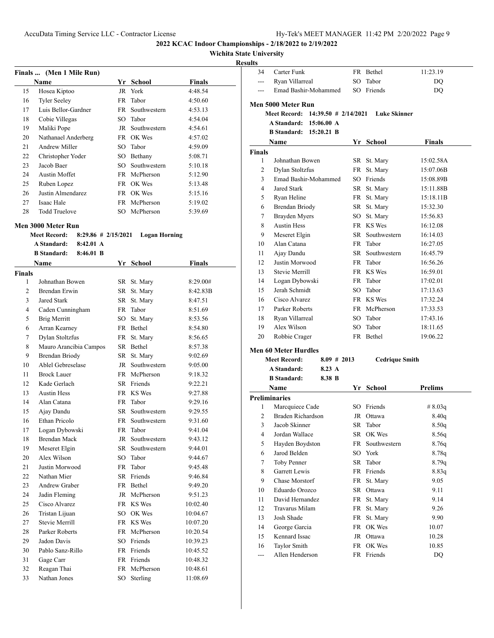## **Wichita State University**

## **Results**

|    | Finals  (Men 1 Mile Run) |     |              |               |  |
|----|--------------------------|-----|--------------|---------------|--|
|    | <b>Name</b>              | Yr. | School       | <b>Finals</b> |  |
| 15 | Hosea Kiptoo             |     | JR York      | 4:48.54       |  |
| 16 | <b>Tyler Seeley</b>      |     | FR Tabor     | 4:50.60       |  |
| 17 | Luis Bellor-Gardner      | FR. | Southwestern | 4:53.13       |  |
| 18 | Cobie Villegas           | SO  | Tabor        | 4:54.04       |  |
| 19 | Maliki Pope              | JR  | Southwestern | 4:54.61       |  |
| 20 | Nathanael Anderberg      |     | FR OK Wes    | 4:57.02       |  |
| 21 | Andrew Miller            | SO  | Tabor        | 4:59.09       |  |
| 22 | Christopher Yoder        | SО  | Bethany      | 5:08.71       |  |
| 23 | Jacob Baer               | SO. | Southwestern | 5:10.18       |  |
| 24 | Austin Moffet            | FR  | McPherson    | 5:12.90       |  |
| 25 | Ruben Lopez              |     | FR OK Wes    | 5:13.48       |  |
| 26 | Justin Almendarez        |     | FR OK Wes    | 5:15.16       |  |
| 27 | Isaac Hale               | FR  | McPherson    | 5:19.02       |  |
| 28 | <b>Todd Truelove</b>     | SO. | McPherson    | 5:39.69       |  |

#### **Men 3000 Meter Run**

| $8:29.86$ # 2/15/2021<br><b>Meet Record:</b> | Logan Horning |
|----------------------------------------------|---------------|
|----------------------------------------------|---------------|

**A Standard: 8:42.01 A**

| Name           |                        |           | <b>School</b>   | <b>Finals</b> |  |
|----------------|------------------------|-----------|-----------------|---------------|--|
| Finals         |                        |           |                 |               |  |
| 1              | Johnathan Bowen        | SR        | St. Mary        | 8:29.00#      |  |
| $\overline{c}$ | Brendan Erwin          | SR        | St. Mary        | 8:42.83B      |  |
| 3              | <b>Jared Stark</b>     | SR        | St. Mary        | 8:47.51       |  |
| 4              | Caden Cunningham       | FR.       | Tabor           | 8:51.69       |  |
| 5              | <b>Brig Merritt</b>    | SO.       | St. Mary        | 8:53.56       |  |
| 6              | Arran Kearney          |           | FR Bethel       | 8:54.80       |  |
| 7              | Dylan Stoltzfus        | FR        | St. Mary        | 8:56.65       |  |
| 8              | Mauro Arancibia Campos |           | SR Bethel       | 8:57.38       |  |
| 9              | <b>Brendan Briody</b>  | SR        | St. Mary        | 9:02.69       |  |
| 10             | Ablel Gebreselase      | JR        | Southwestern    | 9:05.00       |  |
| 11             | <b>Brock Lauer</b>     |           | FR McPherson    | 9:18.32       |  |
| 12             | Kade Gerlach           |           | SR Friends      | 9:22.21       |  |
| 13             | <b>Austin Hess</b>     |           | FR KS Wes       | 9:27.88       |  |
| 14             | Alan Catana            | <b>FR</b> | Tabor           | 9:29.16       |  |
| 15             | Ajay Dandu             | SR        | Southwestern    | 9:29.55       |  |
| 16             | <b>Ethan Pricolo</b>   | FR        | Southwestern    | 9:31.60       |  |
| 17             | Logan Dybowski         | FR        | Tabor           | 9:41.04       |  |
| 18             | <b>Brendan Mack</b>    | JR        | Southwestern    | 9:43.12       |  |
| 19             | Meseret Elgin          |           | SR Southwestern | 9:44.01       |  |
| 20             | Alex Wilson            | SO        | Tabor           | 9:44.67       |  |
| 21             | Justin Morwood         | FR        | Tabor           | 9:45.48       |  |
| 22             | Nathan Mier            |           | SR Friends      | 9:46.84       |  |
| 23             | Andrew Graber          | FR        | <b>Bethel</b>   | 9:49.20       |  |
| 24             | Jadin Fleming          | JR        | McPherson       | 9:51.23       |  |
| 25             | Cisco Alvarez          |           | FR KS Wes       | 10:02.40      |  |
| 26             | Tristan Lijuan         | SO        | OK Wes          | 10:04.67      |  |
| 27             | Stevie Merrill         |           | FR KS Wes       | 10:07.20      |  |
| 28             | Parker Roberts         |           | FR McPherson    | 10:20.54      |  |
| 29             | Jadon Davis            |           | SO Friends      | 10:39.23      |  |
| 30             | Pablo Sanz-Rillo       |           | FR Friends      | 10:45.52      |  |
| 31             | Gage Carr              | FR.       | Friends         | 10:48.32      |  |
| 32             | Reagan Thai            | <b>FR</b> | McPherson       | 10:48.61      |  |
| 33             | Nathan Jones           | SO        | Sterling        | 11:08.69      |  |
|                |                        |           |                 |               |  |

| 34                          | Carter Funk                          |                        | FR  | Bethel                | 11:23.19       |  |  |
|-----------------------------|--------------------------------------|------------------------|-----|-----------------------|----------------|--|--|
| ---                         | Ryan Villarreal                      |                        | SO. | Tabor                 | DQ             |  |  |
| ---                         | Emad Bashir-Mohammed                 |                        |     | SO Friends            | DQ             |  |  |
|                             | Men 5000 Meter Run                   |                        |     |                       |                |  |  |
|                             | Meet Record:                         | $14:39.50$ # 2/14/2021 |     | <b>Luke Skinner</b>   |                |  |  |
|                             | <b>A Standard: 15:06.00 A</b>        |                        |     |                       |                |  |  |
|                             | <b>B</b> Standard: 15:20.21 <b>B</b> |                        |     |                       |                |  |  |
|                             | Name                                 |                        |     | Yr School             | <b>Finals</b>  |  |  |
| <b>Finals</b>               |                                      |                        |     |                       |                |  |  |
| 1                           | Johnathan Bowen                      |                        |     | SR St. Mary           | 15:02.58A      |  |  |
| $\overline{c}$              | Dylan Stoltzfus                      |                        |     | FR St. Mary           | 15:07.06B      |  |  |
| 3                           | Emad Bashir-Mohammed                 |                        |     | SO Friends            | 15:08.89B      |  |  |
| $\overline{4}$              | <b>Jared Stark</b>                   |                        |     | SR St. Mary           | 15:11.88B      |  |  |
| 5                           | Ryan Heline                          |                        |     | FR St. Mary           | 15:18.11B      |  |  |
| 6                           | <b>Brendan Briody</b>                |                        |     | SR St. Mary           | 15:32.30       |  |  |
| 7                           | Brayden Myers                        |                        |     | SO St. Mary           | 15:56.83       |  |  |
| 8                           | <b>Austin Hess</b>                   |                        |     | FR KS Wes             | 16:12.08       |  |  |
| 9                           | Meseret Elgin                        |                        |     | SR Southwestern       | 16:14.03       |  |  |
| 10                          | Alan Catana                          |                        |     | FR Tabor              | 16:27.05       |  |  |
| 11                          | Ajay Dandu                           |                        |     | SR Southwestern       | 16:45.79       |  |  |
| 12                          | Justin Morwood                       |                        |     | FR Tabor              | 16:56.26       |  |  |
| 13                          | <b>Stevie Merrill</b>                |                        |     | FR KS Wes             | 16:59.01       |  |  |
| 14                          | Logan Dybowski                       |                        |     | FR Tabor              | 17:02.01       |  |  |
| 15                          | Jerah Schmidt                        |                        |     | SO Tabor              | 17:13.63       |  |  |
| 16                          | Cisco Alvarez                        |                        |     | FR KS Wes             | 17:32.24       |  |  |
| 17                          | Parker Roberts                       |                        |     | FR McPherson          | 17:33.53       |  |  |
| 18                          | Ryan Villarreal                      |                        |     | SO Tabor              | 17:43.16       |  |  |
| 19                          | Alex Wilson                          |                        |     | SO Tabor              | 18:11.65       |  |  |
| 20                          | Robbie Crager                        |                        |     | FR Bethel             | 19:06.22       |  |  |
| <b>Men 60 Meter Hurdles</b> |                                      |                        |     |                       |                |  |  |
|                             | <b>Meet Record:</b>                  | $8.09 \# 2013$         |     | <b>Cedrique Smith</b> |                |  |  |
|                             | <b>A Standard:</b>                   | $8.23 \text{ A}$       |     |                       |                |  |  |
|                             | <b>B</b> Standard:                   | 8.38 B                 |     |                       |                |  |  |
|                             | Name                                 |                        |     | Yr School             | <b>Prelims</b> |  |  |
|                             | <b>Preliminaries</b>                 |                        |     |                       |                |  |  |
| 1                           | Marcquiece Cade                      |                        |     | SO Friends            | # $8.03q$      |  |  |
| 2                           | Braden Richardson                    |                        |     | JR Ottawa             | 8.40q          |  |  |
| 3                           | Jacob Skinner                        |                        |     | SR Tabor              | 8.50q          |  |  |
| $\overline{4}$              | Jordan Wallace                       |                        |     | SR OK Wes             | 8.56q          |  |  |
| 5                           | Hayden Boydston                      |                        |     | FR Southwestern       | 8.76q          |  |  |
| 6                           | Jarod Belden                         |                        |     | SO York               | 8.78q          |  |  |

 Toby Penner SR Tabor 8.79q 8 Garrett Lewis FR Friends 8.83q 9 Chase Morstorf FR St. Mary 9.05 Eduardo Orozco SR Ottawa 9.11 11 David Hernandez FR St. Mary 9.14 Travarus Milam FR St. Mary 9.26 Josh Shade FR St. Mary 9.90 14 George Garcia FR OK Wes 10.07 Kennard Issac JR Ottawa 10.28 16 Taylor Smith FR OK Wes 10.85 --- Allen Henderson FR Friends DQ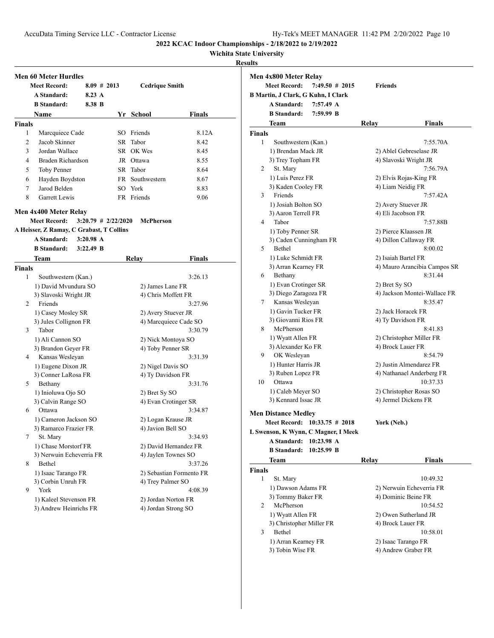# **Wichita State University**

#### **Result**

|               | <b>Meet Record:</b>                      | $8.09 \# 2013$        |                     | <b>Cedrique Smith</b>                   |               |
|---------------|------------------------------------------|-----------------------|---------------------|-----------------------------------------|---------------|
|               | A Standard:                              | $8.23 \text{ A}$      |                     |                                         |               |
|               | <b>B</b> Standard:                       | 8.38 B                |                     |                                         |               |
|               | Name                                     |                       |                     | Yr School                               | <b>Finals</b> |
| <b>Finals</b> |                                          |                       |                     |                                         |               |
| 1             | Marcquiece Cade                          |                       |                     | SO Friends                              | 8.12A         |
| 2             | Jacob Skinner                            |                       |                     | SR Tabor                                | 8.42          |
| 3             | Jordan Wallace                           |                       |                     | SR OK Wes                               | 8.45          |
| 4             | Braden Richardson                        |                       |                     | JR Ottawa                               | 8.55          |
| 5             | Toby Penner                              |                       |                     | SR Tabor                                | 8.64          |
| 6             | Hayden Boydston                          |                       |                     | FR Southwestern                         | 8.67          |
| 7             | Jarod Belden                             |                       |                     | SO York                                 | 8.83          |
| 8             | Garrett Lewis                            |                       |                     | FR Friends                              | 9.06          |
|               | Men 4x400 Meter Relay                    |                       |                     |                                         |               |
|               | <b>Meet Record:</b>                      | $3:20.79$ # 2/22/2020 |                     | <b>McPherson</b>                        |               |
|               | A Heisser, Z Ramay, C Grabast, T Collins |                       |                     |                                         |               |
|               | A Standard:                              | $3:20.98$ A           |                     |                                         |               |
|               | <b>B</b> Standard:                       | $3:22.49$ B           |                     |                                         |               |
|               | Team                                     |                       |                     | Relay                                   | <b>Finals</b> |
| <b>Finals</b> |                                          |                       |                     |                                         |               |
| 1             | Southwestern (Kan.)                      |                       |                     |                                         | 3:26.13       |
|               | 1) David Mvundura SO                     |                       |                     | 2) James Lane FR                        |               |
|               | 3) Slavoski Wright JR                    |                       |                     | 4) Chris Moffett FR                     |               |
| 2             | Friends                                  |                       | 3:27.96             |                                         |               |
|               | 1) Casey Mosley SR                       |                       | 2) Avery Stuever JR |                                         |               |
|               | 3) Jules Collignon FR                    |                       |                     | 4) Marcquiece Cade SO                   |               |
| 3             | Tabor                                    |                       |                     |                                         | 3:30.79       |
|               | 1) Ali Cannon SO                         |                       |                     | 2) Nick Montoya SO                      |               |
|               | 3) Brandon Geyer FR                      |                       |                     | 4) Toby Penner SR                       |               |
| 4             | Kansas Wesleyan                          |                       |                     |                                         | 3:31.39       |
|               | 1) Eugene Dixon JR                       |                       |                     | 2) Nigel Davis SO                       |               |
|               | 3) Conner LaRosa FR                      |                       |                     | 4) Ty Davidson FR                       |               |
| 5             | Bethany                                  |                       |                     |                                         | 3:31.76       |
|               | 1) Inioluwa Ojo SO                       |                       |                     | 2) Bret Sy SO                           |               |
| 6             | 3) Calvin Range SO<br>Ottawa             |                       |                     | 4) Evan Crotinger SR                    | 3:34.87       |
|               | 1) Cameron Jackson SO                    |                       |                     |                                         |               |
|               |                                          |                       |                     | 2) Logan Krause JR<br>4) Javion Bell SO |               |
|               | 3) Ramarco Frazier FR<br>St. Mary        |                       |                     |                                         | 3:34.93       |
|               | 1) Chase Morstorf FR                     |                       |                     | 2) David Hernandez FR                   |               |
| 7             |                                          |                       |                     | 4) Jaylen Townes SO                     |               |
|               |                                          |                       |                     |                                         | 3:37.26       |
|               | 3) Nerwuin Echeverria FR                 |                       |                     |                                         |               |
| 8             | Bethel                                   |                       |                     |                                         |               |
|               | 1) Isaac Tarango FR                      |                       |                     | 2) Sebastian Formento FR                |               |
| 9             | 3) Corbin Unruh FR<br>York               |                       |                     | 4) Trey Palmer SO                       | 4:08.39       |
|               | 1) Kaleel Stevenson FR                   |                       |                     | 2) Jordan Norton FR                     |               |

|               | Men 4x800 Meter Relay<br><b>Meet Record:</b> | $7:49.50$ # 2015                    | <b>Friends</b>      |                              |
|---------------|----------------------------------------------|-------------------------------------|---------------------|------------------------------|
|               |                                              | B Martin, J Clark, G Kuhn, I Clark  |                     |                              |
|               | A Standard:                                  | 7:57.49 A                           |                     |                              |
|               | <b>B</b> Standard:                           | 7:59.99 B                           |                     |                              |
|               |                                              |                                     |                     |                              |
|               | Team                                         |                                     | Relay               | <b>Finals</b>                |
| <b>Finals</b> |                                              |                                     |                     |                              |
| 1             | Southwestern (Kan.)                          |                                     |                     | 7:55.70A                     |
|               | 1) Brendan Mack JR                           |                                     |                     | 2) Ablel Gebreselase JR      |
|               | 3) Trey Topham FR                            |                                     |                     | 4) Slavoski Wright JR        |
| 2             | St. Mary                                     |                                     |                     | 7:56.79A                     |
|               | 1) Luis Perez FR                             |                                     |                     | 2) Elvis Rojas-King FR       |
|               | 3) Kaden Cooley FR                           |                                     | 4) Liam Neidig FR   |                              |
| 3             | Friends                                      |                                     |                     | 7:57.42A                     |
|               | 1) Josiah Bolton SO                          |                                     | 2) Avery Stuever JR |                              |
|               | 3) Aaron Terrell FR                          |                                     | 4) Eli Jacobson FR  |                              |
| 4             | Tabor                                        |                                     |                     | 7:57.88B                     |
|               | 1) Toby Penner SR                            |                                     |                     | 2) Pierce Klaassen JR        |
|               | 3) Caden Cunningham FR                       |                                     |                     | 4) Dillon Callaway FR        |
| 5             | Bethel                                       |                                     |                     | 8:00.02                      |
|               | 1) Luke Schmidt FR                           |                                     | 2) Isaiah Bartel FR |                              |
|               | 3) Arran Kearney FR                          |                                     |                     | 4) Mauro Arancibia Campos SR |
| 6             | Bethany                                      |                                     |                     | 8:31.44                      |
|               | 1) Evan Crotinger SR                         |                                     | 2) Bret Sy SO       |                              |
|               | 3) Diego Zaragoza FR                         |                                     |                     | 4) Jackson Montei-Wallace FR |
| 7             | Kansas Wesleyan                              |                                     |                     | 8:35.47                      |
|               | 1) Gavin Tucker FR                           |                                     | 2) Jack Horacek FR  |                              |
|               | 3) Giovanni Rios FR                          |                                     | 4) Ty Davidson FR   |                              |
| 8             | McPherson                                    |                                     |                     | 8:41.83                      |
|               | 1) Wyatt Allen FR                            |                                     |                     | 2) Christopher Miller FR     |
|               | 3) Alexander Ko FR                           |                                     | 4) Brock Lauer FR   |                              |
| 9             | OK Wesleyan                                  |                                     |                     | 8:54.79                      |
|               | 1) Hunter Harris JR                          |                                     |                     | 2) Justin Almendarez FR      |
|               | 3) Ruben Lopez FR                            |                                     |                     | 4) Nathanael Anderberg FR    |
| 10            | Ottawa                                       |                                     |                     | 10:37.33                     |
|               | 1) Caleb Meyer SO                            |                                     |                     | 2) Christopher Rosas SO      |
|               | 3) Kennard Issac JR                          |                                     |                     | 4) Jermel Dickens FR         |
|               |                                              |                                     |                     |                              |
|               | <b>Men Distance Medley</b>                   |                                     |                     |                              |
|               |                                              | Meet Record: 10:33.75 # 2018        | York (Neb.)         |                              |
|               |                                              | L Swenson, K Wynn, C Magner, I Meek |                     |                              |
|               | A Standard:                                  | 10:23.98 A                          |                     |                              |
|               | <b>B</b> Standard:                           | $10:25.99$ B                        |                     |                              |
|               | Team                                         |                                     | Relay               | <b>Finals</b>                |
| <b>Finals</b> |                                              |                                     |                     |                              |
| 1             | St. Mary                                     |                                     |                     | 10:49.32                     |
|               | 1) Dawson Adams FR                           |                                     |                     | 2) Nerwuin Echeverria FR     |
|               | 3) Tommy Baker FR                            |                                     |                     | 4) Dominic Beine FR          |
| 2             | McPherson                                    |                                     |                     | 10:54.52                     |
|               | 1) Wyatt Allen FR                            |                                     |                     | 2) Owen Sutherland JR        |
|               | 3) Christopher Miller FR                     |                                     | 4) Brock Lauer FR   |                              |
| 3             | Bethel                                       |                                     |                     | 10:58.01                     |
|               | 1) Arran Kearney FR                          |                                     | 2) Isaac Tarango FR |                              |
|               | 3) Tobin Wise FR                             |                                     |                     | 4) Andrew Graber FR          |
|               |                                              |                                     |                     |                              |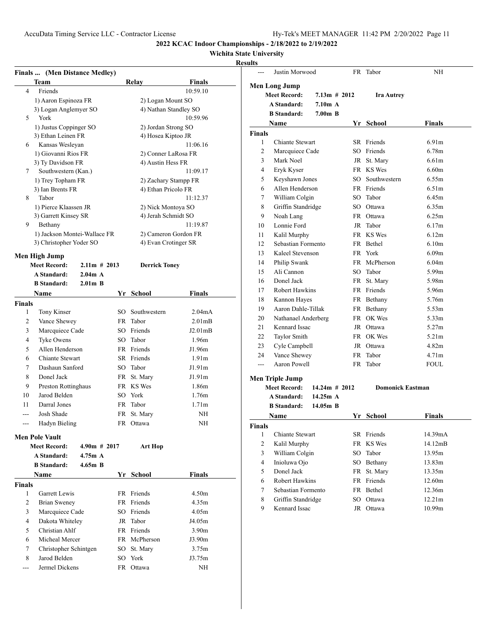**2022 KCAC Indoor Championships - 2/18/2022 to 2/19/2022**

## **Wichita State University**

|                    | Finals  (Men Distance Medley)            |                |    |                                             |                     |                | Justin Morwood         |                 |     | FR Tabor                | NH                |
|--------------------|------------------------------------------|----------------|----|---------------------------------------------|---------------------|----------------|------------------------|-----------------|-----|-------------------------|-------------------|
|                    | <b>Team</b>                              |                |    | Relay                                       | <b>Finals</b>       |                | <b>Men Long Jump</b>   |                 |     |                         |                   |
| $\overline{4}$     | Friends                                  |                |    |                                             | 10:59.10            |                | <b>Meet Record:</b>    | $7.13m \# 2012$ |     | <b>Ira Autrey</b>       |                   |
|                    | 1) Aaron Espinoza FR                     |                |    | 2) Logan Mount SO                           |                     |                | A Standard:            | 7.10m A         |     |                         |                   |
|                    | 3) Logan Anglemyer SO                    |                |    | 4) Nathan Standley SO                       |                     |                | <b>B</b> Standard:     | $7.00m$ B       |     |                         |                   |
| 5                  | York                                     |                |    |                                             | 10:59.96            |                | Name                   |                 |     | Yr School               | <b>Finals</b>     |
|                    | 1) Justus Coppinger SO                   |                |    | 2) Jordan Strong SO                         |                     | Finals         |                        |                 |     |                         |                   |
|                    | 3) Ethan Leinen FR                       |                |    | 4) Hosea Kiptoo JR                          |                     | 1              | Chiante Stewart        |                 |     | SR Friends              | 6.91 <sub>m</sub> |
| 6                  | Kansas Wesleyan                          |                |    |                                             | 11:06.16            | $\mathfrak{2}$ | Marcquiece Cade        |                 |     | SO Friends              | 6.78m             |
|                    | 1) Giovanni Rios FR                      |                |    | 2) Conner LaRosa FR                         |                     | 3              | Mark Noel              |                 |     | JR St. Mary             | 6.61 <sub>m</sub> |
| $\tau$             | 3) Ty Davidson FR<br>Southwestern (Kan.) |                |    | 4) Austin Hess FR                           | 11:09.17            | 4              | Eryk Kyser             |                 |     | FR KS Wes               | 6.60m             |
|                    |                                          |                |    |                                             |                     | 5              | Keyshawn Jones         |                 | SO. | Southwestern            | 6.55m             |
|                    | 1) Trey Topham FR<br>3) Ian Brents FR    |                |    | 2) Zachary Stampp FR<br>4) Ethan Pricolo FR |                     | 6              | Allen Henderson        |                 | FR  | Friends                 | 6.51 <sub>m</sub> |
| 8                  | Tabor                                    |                |    |                                             | 11:12.37            | 7              | William Colgin         |                 | SO. | Tabor                   | 6.45m             |
|                    | 1) Pierce Klaassen JR                    |                |    | 2) Nick Montoya SO                          |                     | 8              | Griffin Standridge     |                 | SO. | Ottawa                  | 6.35m             |
|                    | 3) Garrett Kinsey SR                     |                |    | 4) Jerah Schmidt SO                         |                     | 9              | Noah Lang              |                 |     | FR Ottawa               | 6.25m             |
| 9                  | Bethany                                  |                |    |                                             | 11:19.87            | 10             | Lonnie Ford            |                 |     | JR Tabor                | 6.17m             |
|                    | 1) Jackson Montei-Wallace FR             |                |    | 2) Cameron Gordon FR                        |                     | 11             | Kalil Murphy           |                 |     | FR KS Wes               | 6.12m             |
|                    | 3) Christopher Yoder SO                  |                |    | 4) Evan Crotinger SR                        |                     | 12             | Sebastian Formento     |                 |     | FR Bethel               | 6.10m             |
|                    |                                          |                |    |                                             |                     | 13             | Kaleel Stevenson       |                 |     | FR York                 | 6.09 <sub>m</sub> |
|                    | Men High Jump                            |                |    |                                             |                     | 14             | Philip Swank           |                 |     | FR McPherson            | 6.04m             |
|                    | <b>Meet Record:</b>                      | $2.11m$ # 2013 |    | <b>Derrick Toney</b>                        |                     | 15             | Ali Cannon             |                 |     | SO Tabor                | 5.99m             |
|                    | A Standard:                              | 2.04m A        |    |                                             |                     | 16             | Donel Jack             |                 |     | FR St. Mary             | 5.98m             |
|                    | <b>B</b> Standard:                       | $2.01m$ B      |    |                                             |                     | 17             | Robert Hawkins         |                 |     | FR Friends              | 5.96m             |
|                    | <b>Name</b>                              |                |    | Yr School                                   | <b>Finals</b>       | 18             | Kannon Hayes           |                 |     | FR Bethany              | 5.76m             |
| <b>Finals</b>      |                                          |                |    |                                             |                     | 19             | Aaron Dahle-Tillak     |                 |     | FR Bethany              | 5.53m             |
| 1                  | Tony Kinser                              |                | SO | Southwestern                                | 2.04mA              | 20             | Nathanael Anderberg    |                 |     | FR OK Wes               | 5.33m             |
| 2                  | Vance Shewey                             |                | FR | Tabor                                       | 2.01 <sub>m</sub> B | 21             | Kennard Issac          |                 |     | JR Ottawa               | 5.27m             |
| 3                  | Marcquiece Cade                          |                | SO | Friends                                     | J2.01mB             | 22             | Taylor Smith           |                 |     | FR OK Wes               | 5.21m             |
| 4                  | Tyke Owens                               |                | SO | Tabor                                       | 1.96m               | 23             | Cyle Campbell          |                 |     | JR Ottawa               | 4.82m             |
| 5                  | Allen Henderson                          |                |    | FR Friends                                  | J1.96m              | 24             | Vance Shewey           |                 | FR  | Tabor                   | 4.71 <sub>m</sub> |
| 6                  | Chiante Stewart                          |                |    | SR Friends                                  | 1.91 <sub>m</sub>   | $\overline{a}$ | Aaron Powell           |                 |     | FR Tabor                | <b>FOUL</b>       |
| 7                  | Dashaun Sanford                          |                | SO | Tabor                                       | J1.91m              |                |                        |                 |     |                         |                   |
| 8                  | Donel Jack                               |                |    | FR St. Mary                                 | J1.91m              |                | <b>Men Triple Jump</b> |                 |     |                         |                   |
| 9                  | Preston Rottinghaus                      |                |    | FR KS Wes                                   | 1.86m               |                | <b>Meet Record:</b>    | $14.24m$ # 2012 |     | <b>Domonick Eastman</b> |                   |
| 10                 | Jarod Belden                             |                | SO | York                                        | 1.76m               |                | A Standard:            | 14.25m A        |     |                         |                   |
| 11                 | Darral Jones                             |                |    | FR Tabor                                    | 1.71m               |                | <b>B</b> Standard:     | 14.05m B        |     |                         |                   |
|                    | Josh Shade                               |                |    | FR St. Mary                                 | NH                  |                | Name                   |                 |     | Yr School               | Finals            |
| $---$              | Hadyn Bieling                            |                |    | FR Ottawa                                   | NH                  | Finals         |                        |                 |     |                         |                   |
|                    | <b>Men Pole Vault</b>                    |                |    |                                             |                     | 1              | Chiante Stewart        |                 |     | SR Friends              | 14.39mA           |
|                    | <b>Meet Record:</b>                      | $4.90m$ # 2017 |    | Art Hop                                     |                     | 2              | Kalil Murphy           |                 |     | FR KS Wes               | 14.12mB           |
|                    | A Standard:                              | 4.75m A        |    |                                             |                     | 3              | William Colgin         |                 | SO  | Tabor                   | 13.95m            |
|                    | <b>B</b> Standard:                       | $4.65m$ B      |    |                                             |                     | 4              | Inioluwa Ojo           |                 |     | SO Bethany              | 13.83m            |
|                    | Name                                     |                |    | Yr School                                   | <b>Finals</b>       | 5              | Donel Jack             |                 |     | FR St. Mary             | 13.35m            |
|                    |                                          |                |    |                                             |                     | 6              | Robert Hawkins         |                 |     | FR Friends              | 12.60m            |
| <b>Finals</b><br>1 | Garrett Lewis                            |                |    | FR Friends                                  | 4.50m               | 7              | Sebastian Formento     |                 |     | FR Bethel               | 12.36m            |
| 2                  | <b>Brian Sweney</b>                      |                |    | FR Friends                                  | 4.35m               | 8              | Griffin Standridge     |                 |     | SO Ottawa               | 12.21m            |
| 3                  | Marcquiece Cade                          |                | SO | Friends                                     | 4.05m               | 9              | Kennard Issac          |                 |     | JR Ottawa               | 10.99m            |
|                    | Dakota Whiteley                          |                |    | JR Tabor                                    | J4.05m              |                |                        |                 |     |                         |                   |
| 4                  |                                          |                |    |                                             |                     |                |                        |                 |     |                         |                   |
| 5                  | Christian Ahlf                           |                |    | FR Friends                                  | 3.90 <sub>m</sub>   |                |                        |                 |     |                         |                   |
| 6                  | Micheal Mercer                           |                |    | FR McPherson                                | J3.90m              |                |                        |                 |     |                         |                   |
| 7                  | Christopher Schintgen                    |                |    | SO St. Mary                                 | 3.75m               |                |                        |                 |     |                         |                   |
| 8                  | Jarod Belden                             |                |    | SO York                                     | J3.75m              |                |                        |                 |     |                         |                   |
| ---                | Jermel Dickens                           |                |    | FR Ottawa                                   | NH                  |                |                        |                 |     |                         |                   |